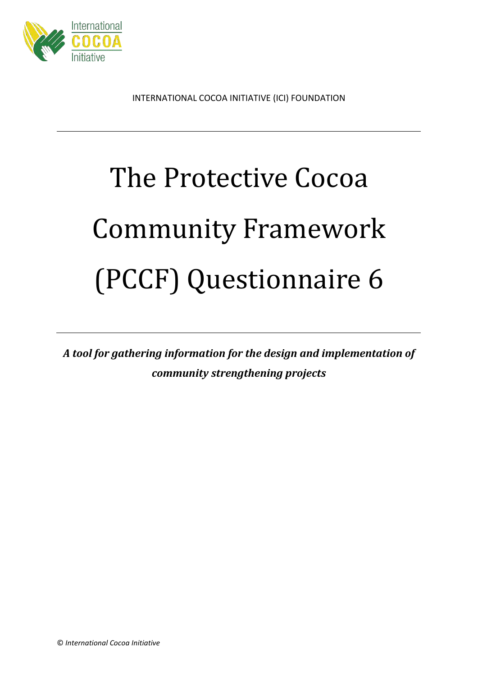

INTERNATIONAL COCOA INITIATIVE (ICI) FOUNDATION

# The Protective Cocoa Community Framework (PCCF) Questionnaire 6

*A tool for gathering information for the design and implementation of community strengthening projects*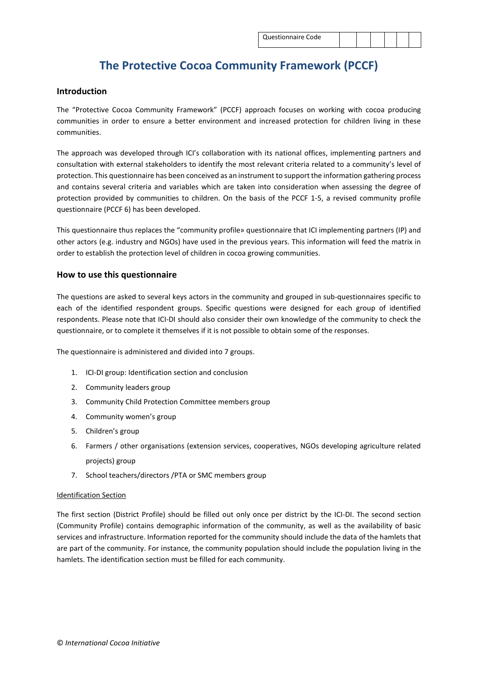# **The Protective Cocoa Community Framework (PCCF)**

#### **Introduction**

The "Protective Cocoa Community Framework" (PCCF) approach focuses on working with cocoa producing communities in order to ensure a better environment and increased protection for children living in these communities.

The approach was developed through ICI's collaboration with its national offices, implementing partners and consultation with external stakeholders to identify the most relevant criteria related to a community's level of protection. This questionnaire has been conceived as an instrument to support the information gathering process and contains several criteria and variables which are taken into consideration when assessing the degree of protection provided by communities to children. On the basis of the PCCF 1-5, a revised community profile questionnaire (PCCF 6) has been developed.

This questionnaire thus replaces the "community profile» questionnaire that ICI implementing partners (IP) and other actors (e.g. industry and NGOs) have used in the previous years. This information will feed the matrix in order to establish the protection level of children in cocoa growing communities.

### **How to use this questionnaire**

The questions are asked to several keys actors in the community and grouped in sub-questionnaires specific to each of the identified respondent groups. Specific questions were designed for each group of identified respondents. Please note that ICI-DI should also consider their own knowledge of the community to check the questionnaire, or to complete it themselves if it is not possible to obtain some of the responses.

The questionnaire is administered and divided into 7 groups.

- 1. ICI-DI group: Identification section and conclusion
- 2. Community leaders group
- 3. Community Child Protection Committee members group
- 4. Community women's group
- 5. Children's group
- 6. Farmers / other organisations (extension services, cooperatives, NGOs developing agriculture related projects) group
- 7. School teachers/directors /PTA or SMC members group

#### Identification Section

The first section (District Profile) should be filled out only once per district by the ICI-DI. The second section (Community Profile) contains demographic information of the community, as well as the availability of basic services and infrastructure. Information reported for the community should include the data of the hamlets that are part of the community. For instance, the community population should include the population living in the hamlets. The identification section must be filled for each community.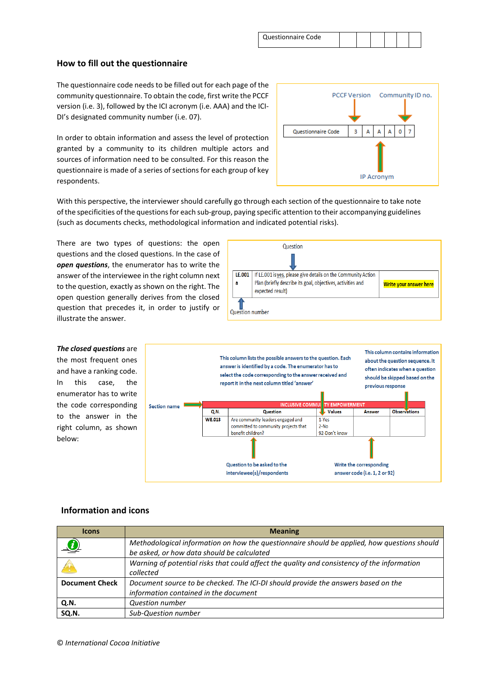| Questionnaire Code |  |  |  |
|--------------------|--|--|--|
|                    |  |  |  |

# **How to fill out the questionnaire**

The questionnaire code needs to be filled out for each page of the community questionnaire. To obtain the code, first write the PCCF version (i.e. 3), followed by the ICI acronym (i.e. AAA) and the ICI-DI's designated community number (i.e. 07).

In order to obtain information and assess the level of protection granted by a community to its children multiple actors and sources of information need to be consulted. For this reason the questionnaire is made of a series of sections for each group of key respondents.

|                    |   |            |   |   |   | PCCF Version Community ID no. |
|--------------------|---|------------|---|---|---|-------------------------------|
| Questionnaire Code | 3 | А          | А | Α | 0 |                               |
|                    |   | IP Acronym |   |   |   |                               |

With this perspective, the interviewer should carefully go through each section of the questionnaire to take note of the specificities of the questions for each sub-group, paying specific attention to their accompanying guidelines (such as documents checks, methodological information and indicated potential risks).

There are two types of questions: the open questions and the closed questions. In the case of *open questions*, the enumerator has to write the answer of the interviewee in the right column next to the question, exactly as shown on the right. The open question generally derives from the closed question that precedes it, in order to justify or illustrate the answer.





### **Information and icons**

below:

| <b>Icons</b>          | <b>Meaning</b>                                                                              |
|-----------------------|---------------------------------------------------------------------------------------------|
|                       | Methodological information on how the questionnaire should be applied, how questions should |
|                       | be asked, or how data should be calculated                                                  |
|                       | Warning of potential risks that could affect the quality and consistency of the information |
|                       | collected                                                                                   |
| <b>Document Check</b> | Document source to be checked. The ICI-DI should provide the answers based on the           |
|                       | information contained in the document                                                       |
| Q.N.                  | <b>Question number</b>                                                                      |
| SQ.N.                 | Sub-Question number                                                                         |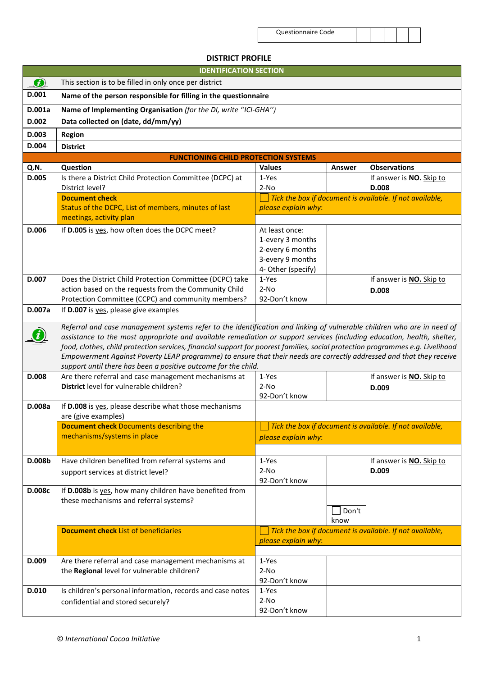| <b>Questionnaire Code</b> |  |  |
|---------------------------|--|--|
|                           |  |  |

# **DISTRICT PROFILE**

|               | <b>IDENTIFICATION SECTION</b>                                                                                                                                                                                                                                                                                                                                                                                                                                                                                                                                                 |                                                          |        |                                                                   |  |  |  |
|---------------|-------------------------------------------------------------------------------------------------------------------------------------------------------------------------------------------------------------------------------------------------------------------------------------------------------------------------------------------------------------------------------------------------------------------------------------------------------------------------------------------------------------------------------------------------------------------------------|----------------------------------------------------------|--------|-------------------------------------------------------------------|--|--|--|
| $\mathcal{L}$ | This section is to be filled in only once per district                                                                                                                                                                                                                                                                                                                                                                                                                                                                                                                        |                                                          |        |                                                                   |  |  |  |
| D.001         | Name of the person responsible for filling in the questionnaire                                                                                                                                                                                                                                                                                                                                                                                                                                                                                                               |                                                          |        |                                                                   |  |  |  |
| D.001a        | Name of Implementing Organisation (for the DI, write "ICI-GHA")                                                                                                                                                                                                                                                                                                                                                                                                                                                                                                               |                                                          |        |                                                                   |  |  |  |
| D.002         | Data collected on (date, dd/mm/yy)                                                                                                                                                                                                                                                                                                                                                                                                                                                                                                                                            |                                                          |        |                                                                   |  |  |  |
| D.003         | Region                                                                                                                                                                                                                                                                                                                                                                                                                                                                                                                                                                        |                                                          |        |                                                                   |  |  |  |
| D.004         | <b>District</b>                                                                                                                                                                                                                                                                                                                                                                                                                                                                                                                                                               |                                                          |        |                                                                   |  |  |  |
|               | <b>FUNCTIONING CHILD PROTECTION SYSTEMS</b>                                                                                                                                                                                                                                                                                                                                                                                                                                                                                                                                   |                                                          |        |                                                                   |  |  |  |
| Q.N.          | Question                                                                                                                                                                                                                                                                                                                                                                                                                                                                                                                                                                      | <b>Values</b>                                            | Answer | <b>Observations</b>                                               |  |  |  |
| D.005         | Is there a District Child Protection Committee (DCPC) at                                                                                                                                                                                                                                                                                                                                                                                                                                                                                                                      | 1-Yes                                                    |        | If answer is NO. Skip to                                          |  |  |  |
|               | District level?<br><b>Document check</b>                                                                                                                                                                                                                                                                                                                                                                                                                                                                                                                                      | $2-NO$                                                   |        | D.008<br>Tick the box if document is available. If not available, |  |  |  |
|               | Status of the DCPC, List of members, minutes of last                                                                                                                                                                                                                                                                                                                                                                                                                                                                                                                          | please explain why:                                      |        |                                                                   |  |  |  |
|               | meetings, activity plan                                                                                                                                                                                                                                                                                                                                                                                                                                                                                                                                                       |                                                          |        |                                                                   |  |  |  |
| D.006         | If D.005 is yes, how often does the DCPC meet?                                                                                                                                                                                                                                                                                                                                                                                                                                                                                                                                | At least once:                                           |        |                                                                   |  |  |  |
|               |                                                                                                                                                                                                                                                                                                                                                                                                                                                                                                                                                                               | 1-every 3 months                                         |        |                                                                   |  |  |  |
|               |                                                                                                                                                                                                                                                                                                                                                                                                                                                                                                                                                                               | 2-every 6 months                                         |        |                                                                   |  |  |  |
|               |                                                                                                                                                                                                                                                                                                                                                                                                                                                                                                                                                                               | 3-every 9 months                                         |        |                                                                   |  |  |  |
| D.007         |                                                                                                                                                                                                                                                                                                                                                                                                                                                                                                                                                                               | 4- Other (specify)<br>1-Yes                              |        |                                                                   |  |  |  |
|               | Does the District Child Protection Committee (DCPC) take<br>action based on the requests from the Community Child                                                                                                                                                                                                                                                                                                                                                                                                                                                             | $2-NO$                                                   |        | If answer is <b>NO.</b> Skip to<br>D.008                          |  |  |  |
|               | Protection Committee (CCPC) and community members?                                                                                                                                                                                                                                                                                                                                                                                                                                                                                                                            | 92-Don't know                                            |        |                                                                   |  |  |  |
| D.007a        | If D.007 is yes, please give examples                                                                                                                                                                                                                                                                                                                                                                                                                                                                                                                                         |                                                          |        |                                                                   |  |  |  |
|               | Referral and case management systems refer to the identification and linking of vulnerable children who are in need of<br>assistance to the most appropriate and available remediation or support services (including education, health, shelter,<br>food, clothes, child protection services, financial support for poorest families, social protection programmes e.g. Livelihood<br>Empowerment Against Poverty LEAP programme) to ensure that their needs are correctly addressed and that they receive<br>support until there has been a positive outcome for the child. |                                                          |        |                                                                   |  |  |  |
| D.008         | Are there referral and case management mechanisms at                                                                                                                                                                                                                                                                                                                                                                                                                                                                                                                          | 1-Yes                                                    |        | If answer is NO. Skip to                                          |  |  |  |
|               | District level for vulnerable children?                                                                                                                                                                                                                                                                                                                                                                                                                                                                                                                                       | $2-NO$                                                   |        | D.009                                                             |  |  |  |
|               |                                                                                                                                                                                                                                                                                                                                                                                                                                                                                                                                                                               | 92-Don't know                                            |        |                                                                   |  |  |  |
| D.008a        | If D.008 is yes, please describe what those mechanisms<br>are (give examples)                                                                                                                                                                                                                                                                                                                                                                                                                                                                                                 |                                                          |        |                                                                   |  |  |  |
|               | <b>Document check Documents describing the</b>                                                                                                                                                                                                                                                                                                                                                                                                                                                                                                                                | Tick the box if document is available. If not available, |        |                                                                   |  |  |  |
|               | mechanisms/systems in place                                                                                                                                                                                                                                                                                                                                                                                                                                                                                                                                                   | please explain why:                                      |        |                                                                   |  |  |  |
|               |                                                                                                                                                                                                                                                                                                                                                                                                                                                                                                                                                                               |                                                          |        |                                                                   |  |  |  |
| D.008b        | Have children benefited from referral systems and                                                                                                                                                                                                                                                                                                                                                                                                                                                                                                                             | 1-Yes                                                    |        | If answer is NO. Skip to                                          |  |  |  |
|               | support services at district level?                                                                                                                                                                                                                                                                                                                                                                                                                                                                                                                                           | $2-NO$                                                   |        | D.009                                                             |  |  |  |
| D.008c        | If D.008b is yes, how many children have benefited from                                                                                                                                                                                                                                                                                                                                                                                                                                                                                                                       | 92-Don't know                                            |        |                                                                   |  |  |  |
|               | these mechanisms and referral systems?                                                                                                                                                                                                                                                                                                                                                                                                                                                                                                                                        |                                                          |        |                                                                   |  |  |  |
|               |                                                                                                                                                                                                                                                                                                                                                                                                                                                                                                                                                                               |                                                          | Don't  |                                                                   |  |  |  |
|               |                                                                                                                                                                                                                                                                                                                                                                                                                                                                                                                                                                               |                                                          | know   |                                                                   |  |  |  |
|               | <b>Document check List of beneficiaries</b>                                                                                                                                                                                                                                                                                                                                                                                                                                                                                                                                   |                                                          |        | Tick the box if document is available. If not available,          |  |  |  |
|               |                                                                                                                                                                                                                                                                                                                                                                                                                                                                                                                                                                               | please explain why:                                      |        |                                                                   |  |  |  |
| D.009         | Are there referral and case management mechanisms at                                                                                                                                                                                                                                                                                                                                                                                                                                                                                                                          | 1-Yes                                                    |        |                                                                   |  |  |  |
|               | the Regional level for vulnerable children?                                                                                                                                                                                                                                                                                                                                                                                                                                                                                                                                   | $2-NO$                                                   |        |                                                                   |  |  |  |
|               |                                                                                                                                                                                                                                                                                                                                                                                                                                                                                                                                                                               | 92-Don't know                                            |        |                                                                   |  |  |  |
| D.010         | Is children's personal information, records and case notes                                                                                                                                                                                                                                                                                                                                                                                                                                                                                                                    | 1-Yes                                                    |        |                                                                   |  |  |  |
|               | confidential and stored securely?                                                                                                                                                                                                                                                                                                                                                                                                                                                                                                                                             | $2-NO$                                                   |        |                                                                   |  |  |  |
|               |                                                                                                                                                                                                                                                                                                                                                                                                                                                                                                                                                                               | 92-Don't know                                            |        |                                                                   |  |  |  |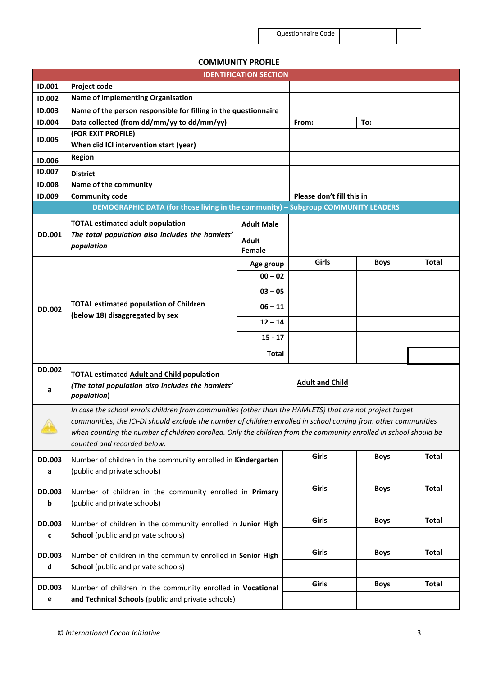| <b>Questionnaire Code</b> |  |  |
|---------------------------|--|--|
|                           |  |  |

# **COMMUNITY PROFILE**

|                                       | <b>IDENTIFICATION SECTION</b>                                                                                                                                                                                                                                                                                                                                                 |                   |                           |              |              |  |  |  |  |
|---------------------------------------|-------------------------------------------------------------------------------------------------------------------------------------------------------------------------------------------------------------------------------------------------------------------------------------------------------------------------------------------------------------------------------|-------------------|---------------------------|--------------|--------------|--|--|--|--|
| ID.001                                | Project code                                                                                                                                                                                                                                                                                                                                                                  |                   |                           |              |              |  |  |  |  |
| ID.002                                | <b>Name of Implementing Organisation</b>                                                                                                                                                                                                                                                                                                                                      |                   |                           |              |              |  |  |  |  |
| ID.003                                | Name of the person responsible for filling in the questionnaire                                                                                                                                                                                                                                                                                                               |                   |                           |              |              |  |  |  |  |
| ID.004                                | Data collected (from dd/mm/yy to dd/mm/yy)                                                                                                                                                                                                                                                                                                                                    |                   | From:                     | To:          |              |  |  |  |  |
| <b>ID.005</b>                         | (FOR EXIT PROFILE)                                                                                                                                                                                                                                                                                                                                                            |                   |                           |              |              |  |  |  |  |
|                                       | When did ICI intervention start (year)                                                                                                                                                                                                                                                                                                                                        |                   |                           |              |              |  |  |  |  |
| <b>ID.006</b>                         | <b>Region</b>                                                                                                                                                                                                                                                                                                                                                                 |                   |                           |              |              |  |  |  |  |
| ID.007                                | <b>District</b>                                                                                                                                                                                                                                                                                                                                                               |                   |                           |              |              |  |  |  |  |
| <b>ID.008</b>                         | Name of the community                                                                                                                                                                                                                                                                                                                                                         |                   |                           |              |              |  |  |  |  |
| ID.009                                | <b>Community code</b>                                                                                                                                                                                                                                                                                                                                                         |                   | Please don't fill this in |              |              |  |  |  |  |
|                                       | DEMOGRAPHIC DATA (for those living in the community) - Subgroup COMMUNITY LEADERS                                                                                                                                                                                                                                                                                             |                   |                           |              |              |  |  |  |  |
|                                       | <b>TOTAL estimated adult population</b>                                                                                                                                                                                                                                                                                                                                       | <b>Adult Male</b> |                           |              |              |  |  |  |  |
| <b>DD.001</b>                         | The total population also includes the hamlets'                                                                                                                                                                                                                                                                                                                               | <b>Adult</b>      |                           |              |              |  |  |  |  |
|                                       | population                                                                                                                                                                                                                                                                                                                                                                    | Female            |                           |              |              |  |  |  |  |
|                                       |                                                                                                                                                                                                                                                                                                                                                                               | Age group         | Girls                     | <b>Boys</b>  | Total        |  |  |  |  |
|                                       |                                                                                                                                                                                                                                                                                                                                                                               | $00 - 02$         |                           |              |              |  |  |  |  |
|                                       |                                                                                                                                                                                                                                                                                                                                                                               | $03 - 05$         |                           |              |              |  |  |  |  |
| <b>DD.002</b>                         | <b>TOTAL estimated population of Children</b><br>(below 18) disaggregated by sex                                                                                                                                                                                                                                                                                              | $06 - 11$         |                           |              |              |  |  |  |  |
|                                       |                                                                                                                                                                                                                                                                                                                                                                               | $12 - 14$         |                           |              |              |  |  |  |  |
|                                       |                                                                                                                                                                                                                                                                                                                                                                               | $15 - 17$         |                           |              |              |  |  |  |  |
|                                       |                                                                                                                                                                                                                                                                                                                                                                               | <b>Total</b>      |                           |              |              |  |  |  |  |
| <b>DD.002</b><br>a                    | <b>TOTAL estimated Adult and Child population</b><br>(The total population also includes the hamlets'<br>population)                                                                                                                                                                                                                                                          |                   | <b>Adult and Child</b>    |              |              |  |  |  |  |
| $\frac{1}{2}$                         | In case the school enrols children from communities (other than the HAMLETS) that are not project target<br>communities, the ICI-DI should exclude the number of children enrolled in school coming from other communities<br>when counting the number of children enrolled. Only the children from the community enrolled in school should be<br>counted and recorded below. |                   |                           |              |              |  |  |  |  |
| <b>DD.003</b>                         | Number of children in the community enrolled in Kindergarten                                                                                                                                                                                                                                                                                                                  |                   | Girls                     | <b>Boys</b>  | <b>Total</b> |  |  |  |  |
| a                                     | (public and private schools)                                                                                                                                                                                                                                                                                                                                                  |                   |                           |              |              |  |  |  |  |
|                                       |                                                                                                                                                                                                                                                                                                                                                                               |                   |                           |              |              |  |  |  |  |
| DD.003<br>b                           | Number of children in the community enrolled in Primary<br>(public and private schools)                                                                                                                                                                                                                                                                                       | Girls             | <b>Boys</b>               | <b>Total</b> |              |  |  |  |  |
|                                       |                                                                                                                                                                                                                                                                                                                                                                               |                   |                           |              |              |  |  |  |  |
| <b>DD.003</b>                         | Number of children in the community enrolled in Junior High                                                                                                                                                                                                                                                                                                                   |                   | Girls                     | <b>Boys</b>  | <b>Total</b> |  |  |  |  |
| c                                     | School (public and private schools)                                                                                                                                                                                                                                                                                                                                           |                   |                           |              |              |  |  |  |  |
|                                       |                                                                                                                                                                                                                                                                                                                                                                               |                   | Girls                     | <b>Boys</b>  | <b>Total</b> |  |  |  |  |
| DD.003<br>$\operatorname{\mathsf{d}}$ | Number of children in the community enrolled in Senior High<br>School (public and private schools)                                                                                                                                                                                                                                                                            |                   |                           |              |              |  |  |  |  |
|                                       |                                                                                                                                                                                                                                                                                                                                                                               |                   |                           |              |              |  |  |  |  |
| DD.003<br>e                           | Number of children in the community enrolled in Vocational<br>and Technical Schools (public and private schools)                                                                                                                                                                                                                                                              |                   | Girls                     | <b>Boys</b>  | <b>Total</b> |  |  |  |  |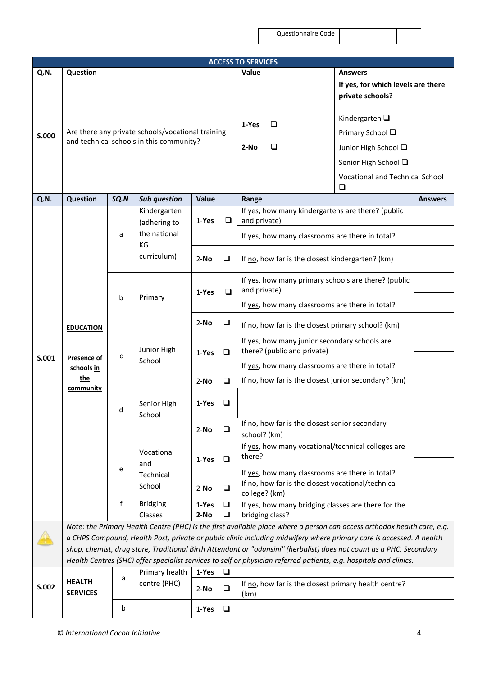|       | <b>ACCESS TO SERVICES</b>        |                                                                                                                                                        |                                                                                               |              |        |                                                                                                                                                                                                                                            |                                                        |                |  |  |  |  |
|-------|----------------------------------|--------------------------------------------------------------------------------------------------------------------------------------------------------|-----------------------------------------------------------------------------------------------|--------------|--------|--------------------------------------------------------------------------------------------------------------------------------------------------------------------------------------------------------------------------------------------|--------------------------------------------------------|----------------|--|--|--|--|
| Q.N.  | Question                         |                                                                                                                                                        |                                                                                               |              |        | Value                                                                                                                                                                                                                                      | <b>Answers</b>                                         |                |  |  |  |  |
|       |                                  |                                                                                                                                                        |                                                                                               |              |        |                                                                                                                                                                                                                                            | If yes, for which levels are there<br>private schools? |                |  |  |  |  |
|       |                                  |                                                                                                                                                        |                                                                                               |              |        | 1-Yes<br>⊔                                                                                                                                                                                                                                 | Kindergarten $\square$                                 |                |  |  |  |  |
| S.000 |                                  |                                                                                                                                                        | Are there any private schools/vocational training<br>and technical schools in this community? |              |        |                                                                                                                                                                                                                                            | Primary School □                                       |                |  |  |  |  |
|       |                                  |                                                                                                                                                        |                                                                                               |              |        | $2-NO$<br>❏                                                                                                                                                                                                                                | Junior High School Q                                   |                |  |  |  |  |
|       |                                  |                                                                                                                                                        |                                                                                               |              |        |                                                                                                                                                                                                                                            | Senior High School □                                   |                |  |  |  |  |
|       |                                  |                                                                                                                                                        |                                                                                               |              |        |                                                                                                                                                                                                                                            | Vocational and Technical School<br>$\Box$              |                |  |  |  |  |
| Q.N.  | <b>Question</b>                  | SQ.N                                                                                                                                                   | <b>Sub question</b>                                                                           | <b>Value</b> |        | Range                                                                                                                                                                                                                                      |                                                        | <b>Answers</b> |  |  |  |  |
|       |                                  |                                                                                                                                                        | Kindergarten<br>(adhering to                                                                  | 1-Yes        | $\Box$ | If yes, how many kindergartens are there? (public<br>and private)                                                                                                                                                                          |                                                        |                |  |  |  |  |
|       |                                  | a                                                                                                                                                      | the national<br>KG                                                                            |              |        | If yes, how many classrooms are there in total?                                                                                                                                                                                            |                                                        |                |  |  |  |  |
|       |                                  |                                                                                                                                                        | curriculum)                                                                                   | $2-NO$       | $\Box$ | If no, how far is the closest kindergarten? (km)                                                                                                                                                                                           |                                                        |                |  |  |  |  |
|       |                                  | b                                                                                                                                                      | Primary                                                                                       | 1-Yes        | $\Box$ | If yes, how many primary schools are there? (public<br>and private)                                                                                                                                                                        |                                                        |                |  |  |  |  |
|       |                                  |                                                                                                                                                        |                                                                                               |              |        | If yes, how many classrooms are there in total?                                                                                                                                                                                            |                                                        |                |  |  |  |  |
| S.001 | <b>EDUCATION</b>                 |                                                                                                                                                        |                                                                                               | $2-NO$       | $\Box$ | If no, how far is the closest primary school? (km)                                                                                                                                                                                         |                                                        |                |  |  |  |  |
|       | Presence of                      | c                                                                                                                                                      | Junior High                                                                                   | $1-Yes$      | $\Box$ | If yes, how many junior secondary schools are<br>there? (public and private)                                                                                                                                                               |                                                        |                |  |  |  |  |
|       | schools in                       |                                                                                                                                                        | School                                                                                        |              |        | If yes, how many classrooms are there in total?                                                                                                                                                                                            |                                                        |                |  |  |  |  |
|       | <u>the</u>                       |                                                                                                                                                        |                                                                                               | $2-NO$       | $\Box$ | If no, how far is the closest junior secondary? (km)                                                                                                                                                                                       |                                                        |                |  |  |  |  |
|       | community                        | d                                                                                                                                                      | Senior High<br>School                                                                         | 1-Yes        | ❏      |                                                                                                                                                                                                                                            |                                                        |                |  |  |  |  |
|       |                                  |                                                                                                                                                        |                                                                                               | $2-NO$       | ❏      | school? (km)                                                                                                                                                                                                                               | If no, how far is the closest senior secondary         |                |  |  |  |  |
|       |                                  |                                                                                                                                                        | Vocational<br>and                                                                             | 1-Yes        | $\Box$ | If yes, how many vocational/technical colleges are<br>there?                                                                                                                                                                               |                                                        |                |  |  |  |  |
|       |                                  | e                                                                                                                                                      | Technical                                                                                     |              |        | If yes, how many classrooms are there in total?                                                                                                                                                                                            |                                                        |                |  |  |  |  |
|       |                                  |                                                                                                                                                        | School                                                                                        | $2-NO$       | $\Box$ | If no, how far is the closest vocational/technical<br>college? (km)                                                                                                                                                                        |                                                        |                |  |  |  |  |
|       |                                  | $\mathsf{f}$<br><b>Bridging</b><br>If yes, how many bridging classes are there for the<br>1-Yes<br>❏<br>Classes<br>$2-NO$<br>$\Box$<br>bridging class? |                                                                                               |              |        |                                                                                                                                                                                                                                            |                                                        |                |  |  |  |  |
|       |                                  |                                                                                                                                                        |                                                                                               |              |        | Note: the Primary Health Centre (PHC) is the first available place where a person can access orthodox health care, e.g.                                                                                                                    |                                                        |                |  |  |  |  |
|       |                                  |                                                                                                                                                        |                                                                                               |              |        | a CHPS Compound, Health Post, private or public clinic including midwifery where primary care is accessed. A health<br>shop, chemist, drug store, Traditional Birth Attendant or "odunsini" (herbalist) does not count as a PHC. Secondary |                                                        |                |  |  |  |  |
|       |                                  |                                                                                                                                                        |                                                                                               |              |        | Health Centres (SHC) offer specialist services to self or physician referred patients, e.g. hospitals and clinics.                                                                                                                         |                                                        |                |  |  |  |  |
|       |                                  |                                                                                                                                                        | Primary health                                                                                | 1-Yes        | $\Box$ |                                                                                                                                                                                                                                            |                                                        |                |  |  |  |  |
| S.002 | <b>HEALTH</b><br><b>SERVICES</b> | a                                                                                                                                                      | centre (PHC)                                                                                  | $2-NO$       | $\Box$ | If no, how far is the closest primary health centre?<br>(km)                                                                                                                                                                               |                                                        |                |  |  |  |  |
|       |                                  | b                                                                                                                                                      |                                                                                               | $1-Yes$      | $\Box$ |                                                                                                                                                                                                                                            |                                                        |                |  |  |  |  |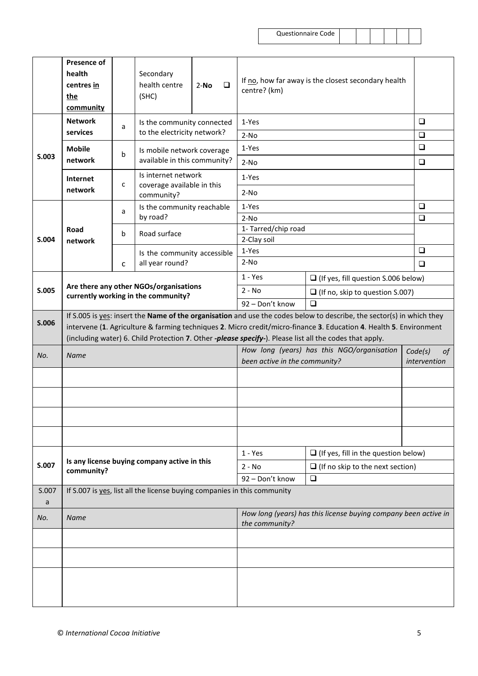| Questionnaire Code |  |
|--------------------|--|
|                    |  |

|            | <b>Presence of</b><br>health<br>centres in<br>the<br>community                |   | Secondary<br>health centre<br>(SHC)                                      | $\Box$<br>$2-NO$ | If no, how far away is the closest secondary health<br>centre? (km)         |                                                                                                                                                                                                                                                                                                                                                        |        |
|------------|-------------------------------------------------------------------------------|---|--------------------------------------------------------------------------|------------------|-----------------------------------------------------------------------------|--------------------------------------------------------------------------------------------------------------------------------------------------------------------------------------------------------------------------------------------------------------------------------------------------------------------------------------------------------|--------|
|            | <b>Network</b>                                                                |   | Is the community connected                                               |                  | 1-Yes                                                                       |                                                                                                                                                                                                                                                                                                                                                        | $\Box$ |
|            | services                                                                      | a | to the electricity network?                                              |                  | $2-NO$                                                                      |                                                                                                                                                                                                                                                                                                                                                        | $\Box$ |
| S.003      | <b>Mobile</b><br>network                                                      | b | Is mobile network coverage<br>available in this community?               |                  | 1-Yes                                                                       |                                                                                                                                                                                                                                                                                                                                                        |        |
|            |                                                                               |   | Is internet network                                                      |                  | $2-NO$                                                                      |                                                                                                                                                                                                                                                                                                                                                        | $\Box$ |
|            | Internet<br>network                                                           | с | coverage available in this<br>community?                                 |                  | 1-Yes<br>$2-NO$                                                             |                                                                                                                                                                                                                                                                                                                                                        |        |
|            |                                                                               |   | Is the community reachable                                               |                  | 1-Yes                                                                       |                                                                                                                                                                                                                                                                                                                                                        | $\Box$ |
|            |                                                                               | a | by road?                                                                 |                  | $2-NO$                                                                      |                                                                                                                                                                                                                                                                                                                                                        | $\Box$ |
|            | Road                                                                          | b | Road surface                                                             |                  | 1- Tarred/chip road                                                         |                                                                                                                                                                                                                                                                                                                                                        |        |
| S.004      | network                                                                       |   |                                                                          |                  | 2-Clay soil                                                                 |                                                                                                                                                                                                                                                                                                                                                        |        |
|            |                                                                               |   | Is the community accessible                                              |                  | 1-Yes                                                                       | $\Box$                                                                                                                                                                                                                                                                                                                                                 |        |
|            |                                                                               | C | all year round?                                                          |                  | $2-NO$                                                                      |                                                                                                                                                                                                                                                                                                                                                        | $\Box$ |
|            |                                                                               |   |                                                                          |                  | $1 - Yes$                                                                   | $\Box$ (If yes, fill question S.006 below)                                                                                                                                                                                                                                                                                                             |        |
| S.005      | Are there any other NGOs/organisations<br>currently working in the community? |   |                                                                          |                  | $2 - No$                                                                    | $\Box$ (If no, skip to question S.007)                                                                                                                                                                                                                                                                                                                 |        |
|            |                                                                               |   |                                                                          |                  | 92 - Don't know                                                             | $\Box$                                                                                                                                                                                                                                                                                                                                                 |        |
| S.006      |                                                                               |   |                                                                          |                  |                                                                             | If S.005 is yes: insert the Name of the organisation and use the codes below to describe, the sector(s) in which they<br>intervene (1. Agriculture & farming techniques 2. Micro credit/micro-finance 3. Education 4. Health 5. Environment<br>(including water) 6. Child Protection 7. Other -please specify-). Please list all the codes that apply. |        |
| No.        | <b>Name</b>                                                                   |   |                                                                          |                  | How long (years) has this NGO/organisation<br>been active in the community? | Code(s)<br>of<br>intervention                                                                                                                                                                                                                                                                                                                          |        |
|            |                                                                               |   |                                                                          |                  |                                                                             |                                                                                                                                                                                                                                                                                                                                                        |        |
|            |                                                                               |   |                                                                          |                  |                                                                             |                                                                                                                                                                                                                                                                                                                                                        |        |
|            |                                                                               |   |                                                                          |                  |                                                                             |                                                                                                                                                                                                                                                                                                                                                        |        |
|            |                                                                               |   |                                                                          |                  | $1 - Yes$                                                                   | $\Box$ (If yes, fill in the question below)                                                                                                                                                                                                                                                                                                            |        |
| S.007      | community?                                                                    |   | Is any license buying company active in this                             |                  | $2 - No$                                                                    | $\Box$ (If no skip to the next section)                                                                                                                                                                                                                                                                                                                |        |
|            |                                                                               |   |                                                                          |                  | 92 - Don't know                                                             | ❏                                                                                                                                                                                                                                                                                                                                                      |        |
| S.007<br>a |                                                                               |   | If S.007 is yes, list all the license buying companies in this community |                  |                                                                             |                                                                                                                                                                                                                                                                                                                                                        |        |
| No.        | <b>Name</b>                                                                   |   |                                                                          |                  |                                                                             | How long (years) has this license buying company been active in                                                                                                                                                                                                                                                                                        |        |
|            |                                                                               |   |                                                                          |                  | the community?                                                              |                                                                                                                                                                                                                                                                                                                                                        |        |
|            |                                                                               |   |                                                                          |                  |                                                                             |                                                                                                                                                                                                                                                                                                                                                        |        |
|            |                                                                               |   |                                                                          |                  |                                                                             |                                                                                                                                                                                                                                                                                                                                                        |        |
|            |                                                                               |   |                                                                          |                  |                                                                             |                                                                                                                                                                                                                                                                                                                                                        |        |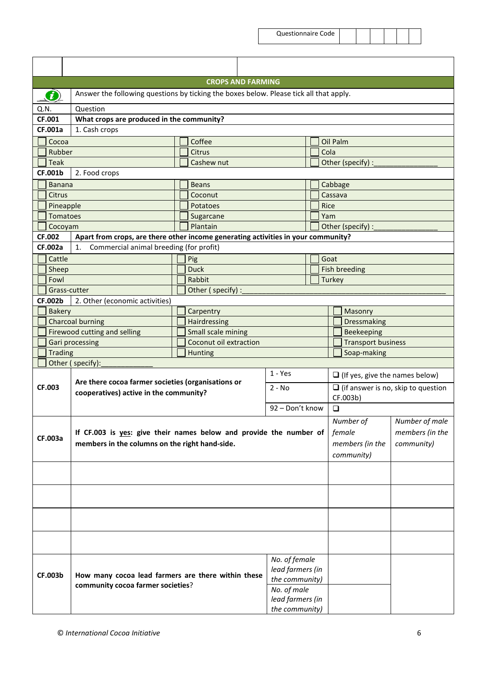|      |                |                                                                                         |           | <b>CROPS AND FARMING</b> |                  |             |             |                                       |                           |                                           |
|------|----------------|-----------------------------------------------------------------------------------------|-----------|--------------------------|------------------|-------------|-------------|---------------------------------------|---------------------------|-------------------------------------------|
|      | O)             | Answer the following questions by ticking the boxes below. Please tick all that apply.  |           |                          |                  |             |             |                                       |                           |                                           |
| Q.N. |                | Question                                                                                |           |                          |                  |             |             |                                       |                           |                                           |
|      | CF.001         | What crops are produced in the community?                                               |           |                          |                  |             |             |                                       |                           |                                           |
|      | <b>CF.001a</b> | 1. Cash crops                                                                           |           |                          |                  |             |             |                                       |                           |                                           |
|      | Cocoa          |                                                                                         |           | Coffee                   |                  |             | Oil Palm    |                                       |                           |                                           |
|      | Rubber         |                                                                                         |           | <b>Citrus</b>            |                  |             | Cola        |                                       |                           |                                           |
|      | Teak           |                                                                                         |           | Cashew nut               |                  |             |             |                                       | Other (specify) :         |                                           |
|      | <b>CF.001b</b> | 2. Food crops                                                                           |           |                          |                  |             |             |                                       |                           |                                           |
|      | <b>Banana</b>  |                                                                                         |           | <b>Beans</b>             |                  |             | Cabbage     |                                       |                           |                                           |
|      | Citrus         |                                                                                         |           | Coconut                  |                  |             | Cassava     |                                       |                           |                                           |
|      | Pineapple      |                                                                                         |           | Potatoes                 |                  |             | <b>Rice</b> |                                       |                           |                                           |
|      | Tomatoes       |                                                                                         |           | Sugarcane                |                  |             | Yam         |                                       |                           |                                           |
|      | Cocoyam        |                                                                                         |           | Plantain                 |                  |             |             |                                       | Other (specify) :         |                                           |
|      | <b>CF.002</b>  | Apart from crops, are there other income generating activities in your community?       |           |                          |                  |             |             |                                       |                           |                                           |
|      | <b>CF.002a</b> | Commercial animal breeding (for profit)<br>1.                                           |           |                          |                  |             |             |                                       |                           |                                           |
|      | Cattle         |                                                                                         |           | Pig                      |                  |             | Goat        |                                       |                           |                                           |
|      | Sheep          |                                                                                         |           | <b>Duck</b>              |                  |             |             |                                       | <b>Fish breeding</b>      |                                           |
|      | Fowl           |                                                                                         |           | Rabbit                   |                  |             | Turkey      |                                       |                           |                                           |
|      | Grass-cutter   |                                                                                         |           | Other (specify):         |                  |             |             |                                       |                           |                                           |
|      | CF.002b        | 2. Other (economic activities)                                                          |           |                          |                  |             |             |                                       |                           |                                           |
|      | <b>Bakery</b>  | Carpentry                                                                               |           |                          |                  |             |             |                                       | Masonry                   |                                           |
|      |                | <b>Charcoal burning</b>                                                                 |           | Hairdressing             |                  |             |             |                                       | Dressmaking               |                                           |
|      |                | <b>Firewood cutting and selling</b>                                                     |           | Small scale mining       |                  |             |             |                                       | Beekeeping                |                                           |
|      |                | Gari processing                                                                         |           | Coconut oil extraction   |                  |             |             |                                       | <b>Transport business</b> |                                           |
|      |                | <b>Trading</b><br><b>Hunting</b>                                                        |           |                          |                  | Soap-making |             |                                       |                           |                                           |
|      |                | Other (specify):                                                                        |           |                          |                  |             |             |                                       |                           |                                           |
|      |                | Are there cocoa farmer societies (organisations or                                      | $1 - Yes$ |                          |                  |             |             | $\Box$ (If yes, give the names below) |                           |                                           |
|      | CF.003         | cooperatives) active in the community?                                                  |           |                          | $2 - No$         |             |             |                                       |                           | $\Box$ (if answer is no, skip to question |
|      |                |                                                                                         |           |                          |                  |             |             | CF.003b)                              |                           |                                           |
|      |                |                                                                                         |           |                          | 92 - Don't know  |             |             | $\Box$                                |                           |                                           |
|      |                |                                                                                         |           |                          |                  |             |             |                                       | Number of                 | Number of male                            |
|      |                | If CF.003 is yes: give their names below and provide the number of                      |           |                          |                  |             |             | female                                |                           | members (in the                           |
|      | <b>CF.003a</b> | members in the columns on the right hand-side.                                          |           |                          |                  |             |             |                                       | members (in the           | community)                                |
|      |                |                                                                                         |           |                          |                  |             |             |                                       | community)                |                                           |
|      |                |                                                                                         |           |                          |                  |             |             |                                       |                           |                                           |
|      |                |                                                                                         |           |                          |                  |             |             |                                       |                           |                                           |
|      |                |                                                                                         |           |                          |                  |             |             |                                       |                           |                                           |
|      |                |                                                                                         |           |                          |                  |             |             |                                       |                           |                                           |
|      |                |                                                                                         |           |                          |                  |             |             |                                       |                           |                                           |
|      |                |                                                                                         |           |                          |                  |             |             |                                       |                           |                                           |
|      |                |                                                                                         |           |                          |                  |             |             |                                       |                           |                                           |
|      |                |                                                                                         |           |                          |                  |             |             |                                       |                           |                                           |
|      |                |                                                                                         |           |                          | No. of female    |             |             |                                       |                           |                                           |
|      |                |                                                                                         |           |                          | lead farmers (in |             |             |                                       |                           |                                           |
|      | <b>CF.003b</b> | How many cocoa lead farmers are there within these<br>community cocoa farmer societies? |           |                          | the community)   |             |             |                                       |                           |                                           |
|      |                |                                                                                         |           |                          | No. of male      |             |             |                                       |                           |                                           |
|      |                |                                                                                         |           |                          | lead farmers (in |             |             |                                       |                           |                                           |
|      | the community) |                                                                                         |           |                          |                  |             |             |                                       |                           |                                           |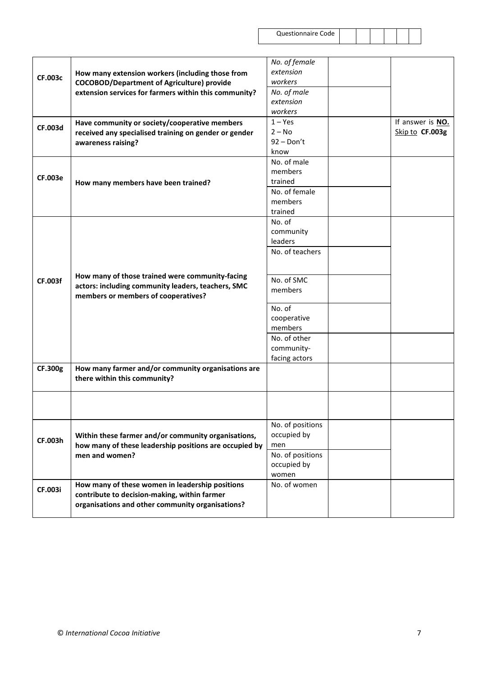|                |                                                        | No. of female    |                  |
|----------------|--------------------------------------------------------|------------------|------------------|
|                | How many extension workers (including those from       | extension        |                  |
| <b>CF.003c</b> | <b>COCOBOD/Department of Agriculture) provide</b>      | workers          |                  |
|                | extension services for farmers within this community?  | No. of male      |                  |
|                |                                                        | extension        |                  |
|                |                                                        | workers          |                  |
|                | Have community or society/cooperative members          | $1 - Yes$        | If answer is NO. |
| CF.003d        |                                                        | $2 - No$         | Skip to CF.003g  |
|                | received any specialised training on gender or gender  | $92 - Don't$     |                  |
|                | awareness raising?                                     | know             |                  |
|                |                                                        |                  |                  |
|                |                                                        | No. of male      |                  |
| <b>CF.003e</b> |                                                        | members          |                  |
|                | How many members have been trained?                    | trained          |                  |
|                |                                                        | No. of female    |                  |
|                |                                                        | members          |                  |
|                |                                                        | trained          |                  |
|                |                                                        | No. of           |                  |
|                |                                                        | community        |                  |
|                |                                                        | leaders          |                  |
|                |                                                        | No. of teachers  |                  |
|                |                                                        |                  |                  |
|                |                                                        |                  |                  |
| <b>CF.003f</b> | How many of those trained were community-facing        | No. of SMC       |                  |
|                | actors: including community leaders, teachers, SMC     | members          |                  |
|                | members or members of cooperatives?                    |                  |                  |
|                |                                                        | No. of           |                  |
|                |                                                        | cooperative      |                  |
|                |                                                        | members          |                  |
|                |                                                        | No. of other     |                  |
|                |                                                        | community-       |                  |
|                |                                                        | facing actors    |                  |
| CF.300g        | How many farmer and/or community organisations are     |                  |                  |
|                | there within this community?                           |                  |                  |
|                |                                                        |                  |                  |
|                |                                                        |                  |                  |
|                |                                                        |                  |                  |
|                |                                                        |                  |                  |
|                |                                                        | No. of positions |                  |
|                | Within these farmer and/or community organisations,    | occupied by      |                  |
| CF.003h        | how many of these leadership positions are occupied by | men              |                  |
|                | men and women?                                         | No. of positions |                  |
|                |                                                        | occupied by      |                  |
|                |                                                        | women            |                  |
|                | How many of these women in leadership positions        | No. of women     |                  |
| CF.003i        |                                                        |                  |                  |
|                | contribute to decision-making, within farmer           |                  |                  |
|                | organisations and other community organisations?       |                  |                  |
|                |                                                        |                  |                  |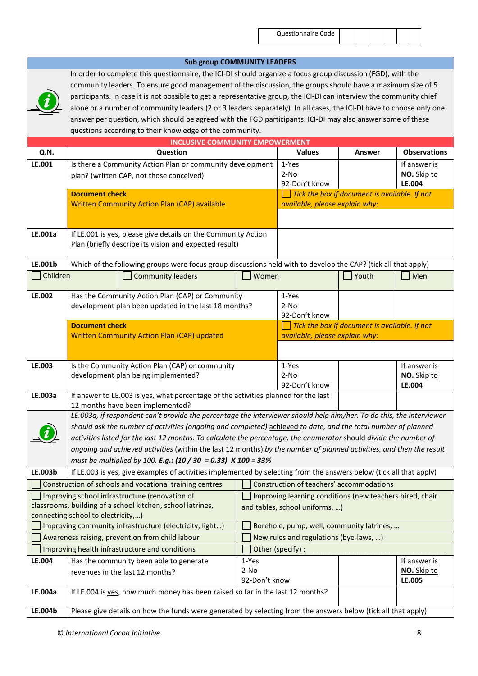#### **Sub group COMMUNITY LEADERS** In order to complete this questionnaire, the ICI-DI should organize a focus group discussion (FGD), with the community leaders. To ensure good management of the discussion, the groups should have a maximum size of 5 participants. In case it is not possible to get a representative group, the ICI-DI can interview the community chief alone or a number of community leaders (2 or 3 leaders separately). In all cases, the ICI-DI have to choose only one answer per question, which should be agreed with the FGD participants. ICI-DI may also answer some of these questions according to their knowledge of the community. **INCLUSIVE COMMUNITY EMPOWERMENT Q.N. Question Values Answer Observations LE.001** Is there a Community Action Plan or community development plan? (written CAP, not those conceived) 1-Yes 2-No 92-Don't know If answer is **NO.** Skip to **LE.004 Document check** Written Community Action Plan (CAP) available *Tick the box if document is available. If not available, please explain why*: **LE.001a** | If LE.001 is yes, please give details on the Community Action Plan (briefly describe its vision and expected result) **LE.001b** Which of the following groups were focus group discussions held with to develop the CAP? (tick all that apply) ■Children  $\Box$  Community leaders  $\Box$  Women  $\Box$  Youth  $\Box$  Men **LE.002** Has the Community Action Plan (CAP) or Community development plan been updated in the last 18 months? 1-Yes 2-No 92-Don't know **Document check** Written Community Action Plan (CAP) updated *Tick the box if document is available. If not available, please explain why*: **LE.003** | Is the Community Action Plan (CAP) or community development plan being implemented? 1-Yes 2-No 92-Don't know If answer is **NO.** Skip to **LE.004 LE.003a** If answer to LE.003 is yes, what percentage of the activities planned for the last 12 months have been implemented? *LE.003a, if respondent can't provide the percentage the interviewer should help him/her. To do this, the interviewer should ask the number of activities (ongoing and completed)* achieved *to date, and the total number of planned activities listed for the last 12 months. To calculate the percentage, the enumerator* should *divide the number of ongoing and achieved activities* (within the last 12 months) *by the number of planned activities, and then the result must be multiplied by 100. E.g.: (10 / 30 = 0.33) X 100 = 33%* **LE.003b** If LE.003 is yes, give examples of activities implemented by selecting from the answers below (tick all that apply)  $\Box$  Construction of schools and vocational training centres  $\Box$  Construction of teachers' accommodations  $\Box$  Improving school infrastructure (renovation of classrooms, building of a school kitchen, school latrines, connecting school to electricity,…)  $\Box$  Improving learning conditions (new teachers hired, chair and tables, school uniforms, …) Improving community infrastructure (electricity, light...)  $\Box$  Borehole, pump, well, community latrines, ... Awareness raising, prevention from child labour  $\Box$  New rules and regulations (bye-laws, ...) Improving health infrastructure and conditions  $\Box$  Other (specify) : **LE.004** Has the community been able to generate revenues in the last 12 months? 1-Yes 2-No 92-Don't know If answer is **NO.** Skip to **LE.005 LE.004a** | If LE.004 is yes, how much money has been raised so far in the last 12 months? **LE.004b** Please give details on how the funds were generated by selecting from the answers below (tick all that apply)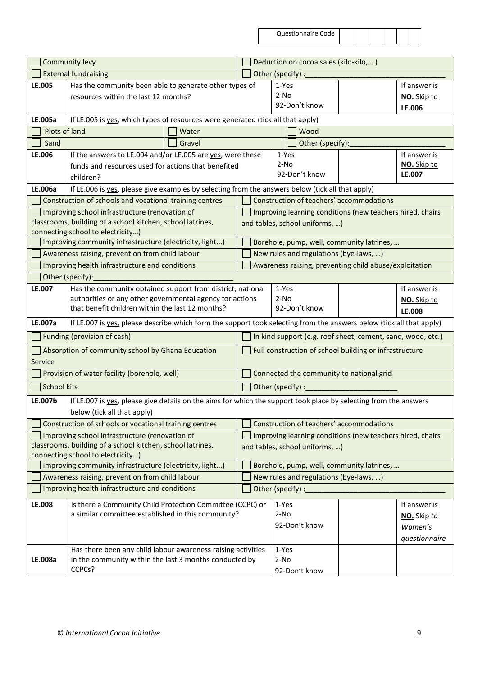|                    | Community levy                                                                                                         |        | Deduction on cocoa sales (kilo-kilo, )                                              |                         |                 |                                        |                                                           |                       |
|--------------------|------------------------------------------------------------------------------------------------------------------------|--------|-------------------------------------------------------------------------------------|-------------------------|-----------------|----------------------------------------|-----------------------------------------------------------|-----------------------|
|                    | <b>External fundraising</b>                                                                                            |        |                                                                                     |                         |                 | Other (specify) :                      |                                                           |                       |
| LE.005             | Has the community been able to generate other types of                                                                 |        |                                                                                     |                         | 1-Yes           |                                        |                                                           | If answer is          |
|                    | resources within the last 12 months?                                                                                   |        |                                                                                     |                         | $2-NO$          |                                        |                                                           | NO. Skip to           |
|                    |                                                                                                                        |        |                                                                                     |                         |                 | 92-Don't know                          |                                                           | LE.006                |
| LE.005a            | If LE.005 is yes, which types of resources were generated (tick all that apply)                                        |        |                                                                                     |                         |                 |                                        |                                                           |                       |
| Plots of land      |                                                                                                                        | Water  |                                                                                     |                         |                 | Wood                                   |                                                           |                       |
| Sand               |                                                                                                                        | Gravel |                                                                                     |                         |                 | Other (specify):                       |                                                           |                       |
| LE.006             | If the answers to LE.004 and/or LE.005 are yes, were these                                                             |        |                                                                                     |                         |                 | 1-Yes                                  |                                                           | If answer is          |
|                    | funds and resources used for actions that benefited                                                                    |        |                                                                                     | $2-NO$<br>92-Don't know |                 |                                        |                                                           | NO. Skip to<br>LE.007 |
|                    | children?                                                                                                              |        |                                                                                     |                         |                 |                                        |                                                           |                       |
| LE.006a            | If LE.006 is yes, please give examples by selecting from the answers below (tick all that apply)                       |        |                                                                                     |                         |                 |                                        |                                                           |                       |
|                    | Construction of schools and vocational training centres                                                                |        |                                                                                     |                         |                 |                                        | Construction of teachers' accommodations                  |                       |
|                    | Improving school infrastructure (renovation of<br>classrooms, building of a school kitchen, school latrines,           |        |                                                                                     |                         |                 |                                        | Improving learning conditions (new teachers hired, chairs |                       |
|                    | connecting school to electricity)                                                                                      |        |                                                                                     |                         |                 | and tables, school uniforms, )         |                                                           |                       |
|                    | Improving community infrastructure (electricity, light)                                                                |        |                                                                                     |                         |                 |                                        | Borehole, pump, well, community latrines,                 |                       |
|                    | Awareness raising, prevention from child labour                                                                        |        |                                                                                     |                         |                 | New rules and regulations (bye-laws, ) |                                                           |                       |
|                    | Improving health infrastructure and conditions                                                                         |        |                                                                                     |                         |                 |                                        | Awareness raising, preventing child abuse/exploitation    |                       |
|                    | Other (specify):                                                                                                       |        |                                                                                     |                         |                 |                                        |                                                           |                       |
| LE.007             | Has the community obtained support from district, national                                                             |        |                                                                                     |                         | 1-Yes           |                                        |                                                           | If answer is          |
|                    | authorities or any other governmental agency for actions                                                               |        |                                                                                     |                         | $2-NO$          |                                        |                                                           | NO. Skip to           |
|                    | that benefit children within the last 12 months?                                                                       |        |                                                                                     |                         |                 | 92-Don't know                          |                                                           | LE.008                |
| LE.007a            | If LE.007 is yes, please describe which form the support took selecting from the answers below (tick all that apply)   |        |                                                                                     |                         |                 |                                        |                                                           |                       |
|                    | Funding (provision of cash)                                                                                            |        | In kind support (e.g. roof sheet, cement, sand, wood, etc.)                         |                         |                 |                                        |                                                           |                       |
| Service            | Absorption of community school by Ghana Education                                                                      |        | Full construction of school building or infrastructure                              |                         |                 |                                        |                                                           |                       |
|                    | Provision of water facility (borehole, well)                                                                           |        | Connected the community to national grid                                            |                         |                 |                                        |                                                           |                       |
| <b>School kits</b> |                                                                                                                        |        | Other (specify) :                                                                   |                         |                 |                                        |                                                           |                       |
| LE.007b            | If LE.007 is yes, please give details on the aims for which the support took place by selecting from the answers       |        |                                                                                     |                         |                 |                                        |                                                           |                       |
|                    | below (tick all that apply)                                                                                            |        |                                                                                     |                         |                 |                                        |                                                           |                       |
|                    | Construction of schools or vocational training centres                                                                 |        |                                                                                     |                         |                 |                                        | Construction of teachers' accommodations                  |                       |
|                    | Improving school infrastructure (renovation of                                                                         |        |                                                                                     |                         |                 |                                        | Improving learning conditions (new teachers hired, chairs |                       |
|                    | classrooms, building of a school kitchen, school latrines,                                                             |        |                                                                                     |                         |                 | and tables, school uniforms, )         |                                                           |                       |
|                    | connecting school to electricity)<br>Improving community infrastructure (electricity, light)                           |        |                                                                                     |                         |                 |                                        |                                                           |                       |
|                    | Awareness raising, prevention from child labour                                                                        |        | Borehole, pump, well, community latrines,<br>New rules and regulations (bye-laws, ) |                         |                 |                                        |                                                           |                       |
|                    | Improving health infrastructure and conditions                                                                         |        |                                                                                     |                         |                 | Other (specify) :                      |                                                           |                       |
|                    |                                                                                                                        |        |                                                                                     |                         |                 |                                        |                                                           |                       |
| LE.008             | Is there a Community Child Protection Committee (CCPC) or<br>a similar committee established in this community?        |        |                                                                                     |                         | 1-Yes<br>$2-NO$ |                                        |                                                           | If answer is          |
|                    |                                                                                                                        |        |                                                                                     |                         |                 | 92-Don't know                          |                                                           | NO. Skip to           |
|                    |                                                                                                                        |        |                                                                                     |                         |                 |                                        |                                                           | Women's               |
|                    |                                                                                                                        |        |                                                                                     |                         |                 |                                        |                                                           | questionnaire         |
| LE.008a            | Has there been any child labour awareness raising activities<br>in the community within the last 3 months conducted by |        |                                                                                     |                         | 1-Yes<br>$2-NO$ |                                        |                                                           |                       |
|                    | CCPCs?                                                                                                                 |        |                                                                                     |                         |                 | 92-Don't know                          |                                                           |                       |
|                    |                                                                                                                        |        |                                                                                     |                         |                 |                                        |                                                           |                       |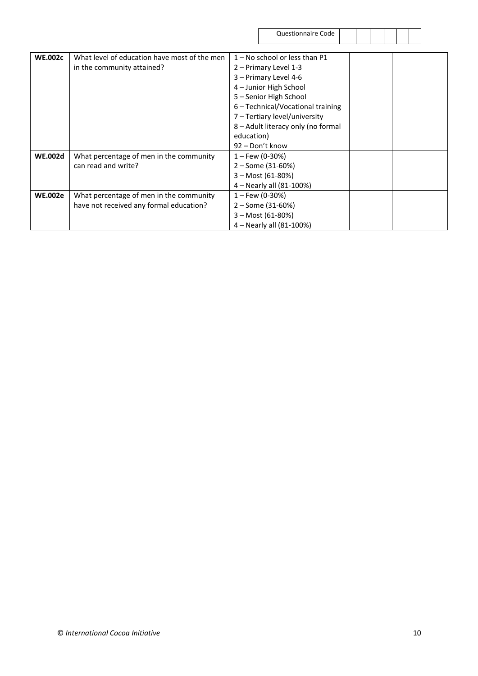| Questionnaire Code |  |
|--------------------|--|
|--------------------|--|

| <b>WE.002c</b> | What level of education have most of the men | $1 -$ No school or less than P1    |  |
|----------------|----------------------------------------------|------------------------------------|--|
|                | in the community attained?                   | 2 – Primary Level 1-3              |  |
|                |                                              | 3 - Primary Level 4-6              |  |
|                |                                              | 4 - Junior High School             |  |
|                |                                              | 5 - Senior High School             |  |
|                |                                              | 6 - Technical/Vocational training  |  |
|                |                                              | 7 - Tertiary level/university      |  |
|                |                                              | 8 - Adult literacy only (no formal |  |
|                |                                              | education)                         |  |
|                |                                              | 92 – Don't know                    |  |
| <b>WE.002d</b> | What percentage of men in the community      | $1 -$ Few (0-30%)                  |  |
|                | can read and write?                          | $2 - Some (31-60%)$                |  |
|                |                                              | $3 - \text{Most (61-80%)}$         |  |
|                |                                              | 4 – Nearly all (81-100%)           |  |
| <b>WE.002e</b> | What percentage of men in the community      | $1 -$ Few (0-30%)                  |  |
|                | have not received any formal education?      | $2 - Some (31-60%)$                |  |
|                |                                              | $3 - \text{Most (61-80%)}$         |  |
|                |                                              | 4 - Nearly all (81-100%)           |  |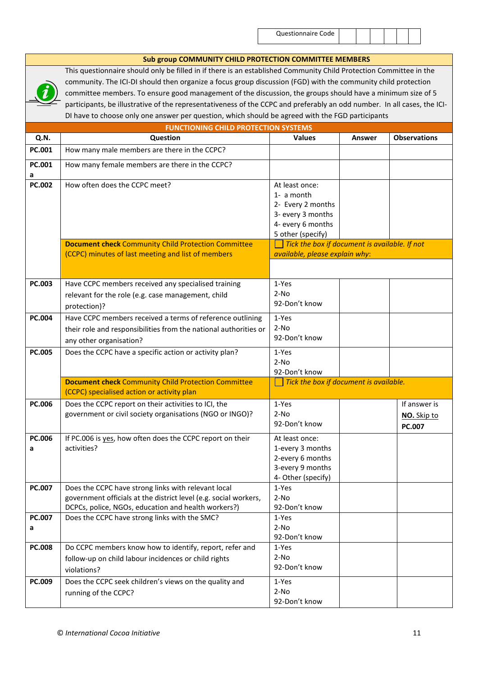#### **Sub group COMMUNITY CHILD PROTECTION COMMITTEE MEMBERS**



This questionnaire should only be filled in if there is an established Community Child Protection Committee in the community. The ICI-DI should then organize a focus group discussion (FGD) with the community child protection committee members. To ensure good management of the discussion, the groups should have a minimum size of 5 participants, be illustrative of the representativeness of the CCPC and preferably an odd number. In all cases, the ICI-DI have to choose only one answer per question, which should be agreed with the FGD participants

|               | <b>FUNCTIONING CHILD PROTECTION SYSTEMS</b>                                                                                                                                    |                                                                                                                  |               |                                              |
|---------------|--------------------------------------------------------------------------------------------------------------------------------------------------------------------------------|------------------------------------------------------------------------------------------------------------------|---------------|----------------------------------------------|
| Q.N.          | Question                                                                                                                                                                       | <b>Values</b>                                                                                                    | <b>Answer</b> | <b>Observations</b>                          |
| PC.001        | How many male members are there in the CCPC?                                                                                                                                   |                                                                                                                  |               |                                              |
| PC.001<br>a   | How many female members are there in the CCPC?                                                                                                                                 |                                                                                                                  |               |                                              |
| <b>PC.002</b> | How often does the CCPC meet?                                                                                                                                                  | At least once:<br>1- a month<br>2- Every 2 months<br>3- every 3 months<br>4- every 6 months<br>5 other (specify) |               |                                              |
|               | <b>Document check Community Child Protection Committee</b><br>(CCPC) minutes of last meeting and list of members                                                               | Tick the box if document is available. If not<br>available, please explain why:                                  |               |                                              |
| <b>PC.003</b> | Have CCPC members received any specialised training<br>relevant for the role (e.g. case management, child<br>protection)?                                                      | 1-Yes<br>$2-NO$<br>92-Don't know                                                                                 |               |                                              |
| PC.004        | Have CCPC members received a terms of reference outlining<br>their role and responsibilities from the national authorities or<br>any other organisation?                       | 1-Yes<br>$2-NO$<br>92-Don't know                                                                                 |               |                                              |
| <b>PC.005</b> | Does the CCPC have a specific action or activity plan?                                                                                                                         | 1-Yes<br>$2-NO$<br>92-Don't know                                                                                 |               |                                              |
|               | <b>Document check Community Child Protection Committee</b><br>(CCPC) specialised action or activity plan                                                                       | Tick the box if document is available.                                                                           |               |                                              |
| PC.006        | Does the CCPC report on their activities to ICI, the<br>government or civil society organisations (NGO or INGO)?                                                               | 1-Yes<br>$2-NO$<br>92-Don't know                                                                                 |               | If answer is<br>NO. Skip to<br><b>PC.007</b> |
| PC.006<br>a   | If PC.006 is yes, how often does the CCPC report on their<br>activities?                                                                                                       | At least once:<br>1-every 3 months<br>2-every 6 months<br>3-every 9 months<br>4- Other (specify)                 |               |                                              |
| <b>PC.007</b> | Does the CCPC have strong links with relevant local<br>government officials at the district level (e.g. social workers,<br>DCPCs, police, NGOs, education and health workers?) | 1-Yes<br>$2-NO$<br>92-Don't know                                                                                 |               |                                              |
| PC.007<br>а   | Does the CCPC have strong links with the SMC?                                                                                                                                  | 1-Yes<br>$2-NO$<br>92-Don't know                                                                                 |               |                                              |
| <b>PC.008</b> | Do CCPC members know how to identify, report, refer and<br>follow-up on child labour incidences or child rights<br>violations?                                                 | 1-Yes<br>$2-NO$<br>92-Don't know                                                                                 |               |                                              |
| PC.009        | Does the CCPC seek children's views on the quality and<br>running of the CCPC?                                                                                                 | 1-Yes<br>$2-NO$<br>92-Don't know                                                                                 |               |                                              |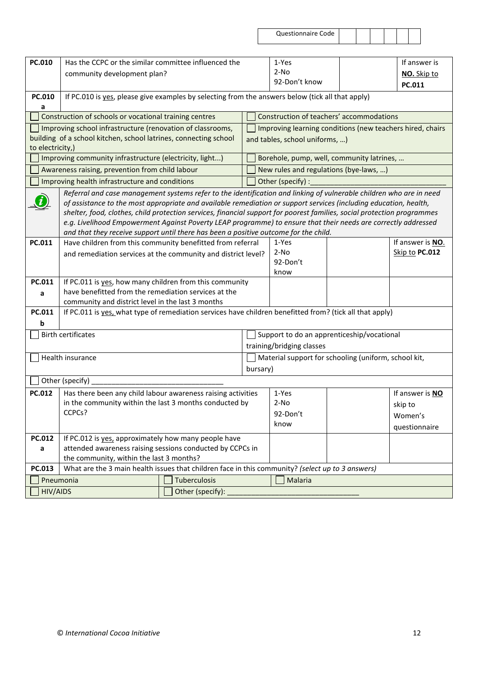| PC.010                                                         | Has the CCPC or the similar committee influenced the                                                                                               |              |                                                      | 1-Yes                                                     |  | If answer is     |  |
|----------------------------------------------------------------|----------------------------------------------------------------------------------------------------------------------------------------------------|--------------|------------------------------------------------------|-----------------------------------------------------------|--|------------------|--|
|                                                                | community development plan?                                                                                                                        |              |                                                      | $2-NO$<br>92-Don't know                                   |  | NO. Skip to      |  |
|                                                                |                                                                                                                                                    |              |                                                      |                                                           |  | PC.011           |  |
| PC.010<br>a                                                    | If PC.010 is yes, please give examples by selecting from the answers below (tick all that apply)                                                   |              |                                                      |                                                           |  |                  |  |
|                                                                | Construction of schools or vocational training centres                                                                                             |              |                                                      | Construction of teachers' accommodations                  |  |                  |  |
|                                                                | Improving school infrastructure (renovation of classrooms,                                                                                         |              |                                                      | Improving learning conditions (new teachers hired, chairs |  |                  |  |
|                                                                | building of a school kitchen, school latrines, connecting school                                                                                   |              |                                                      | and tables, school uniforms, )                            |  |                  |  |
| to electricity,)                                               |                                                                                                                                                    |              |                                                      |                                                           |  |                  |  |
|                                                                | Improving community infrastructure (electricity, light)                                                                                            |              |                                                      | Borehole, pump, well, community latrines,                 |  |                  |  |
|                                                                | Awareness raising, prevention from child labour                                                                                                    |              |                                                      | New rules and regulations (bye-laws, )                    |  |                  |  |
|                                                                | Improving health infrastructure and conditions                                                                                                     |              |                                                      | Other (specify) :                                         |  |                  |  |
|                                                                | Referral and case management systems refer to the identification and linking of vulnerable children who are in need                                |              |                                                      |                                                           |  |                  |  |
|                                                                | of assistance to the most appropriate and available remediation or support services (including education, health,                                  |              |                                                      |                                                           |  |                  |  |
|                                                                | shelter, food, clothes, child protection services, financial support for poorest families, social protection programmes                            |              |                                                      |                                                           |  |                  |  |
|                                                                | e.g. Livelihood Empowerment Against Poverty LEAP programme) to ensure that their needs are correctly addressed                                     |              |                                                      |                                                           |  |                  |  |
| PC.011                                                         | and that they receive support until there has been a positive outcome for the child.<br>Have children from this community benefitted from referral |              |                                                      | 1-Yes                                                     |  | If answer is NO. |  |
|                                                                |                                                                                                                                                    |              |                                                      | $2-NO$                                                    |  | Skip to PC.012   |  |
|                                                                | and remediation services at the community and district level?                                                                                      |              |                                                      | 92-Don't                                                  |  |                  |  |
|                                                                |                                                                                                                                                    |              |                                                      | know                                                      |  |                  |  |
| PC.011                                                         | If PC.011 is yes, how many children from this community                                                                                            |              |                                                      |                                                           |  |                  |  |
| a                                                              | have benefitted from the remediation services at the                                                                                               |              |                                                      |                                                           |  |                  |  |
|                                                                | community and district level in the last 3 months                                                                                                  |              |                                                      |                                                           |  |                  |  |
| PC.011                                                         | If PC.011 is yes, what type of remediation services have children benefitted from? (tick all that apply)                                           |              |                                                      |                                                           |  |                  |  |
| b                                                              |                                                                                                                                                    |              |                                                      |                                                           |  |                  |  |
|                                                                | <b>Birth certificates</b>                                                                                                                          |              | Support to do an apprenticeship/vocational           |                                                           |  |                  |  |
|                                                                |                                                                                                                                                    |              | training/bridging classes                            |                                                           |  |                  |  |
|                                                                | Health insurance                                                                                                                                   |              | Material support for schooling (uniform, school kit, |                                                           |  |                  |  |
|                                                                |                                                                                                                                                    |              | bursary)                                             |                                                           |  |                  |  |
|                                                                | Other (specify)                                                                                                                                    |              |                                                      |                                                           |  |                  |  |
| PC.012                                                         | Has there been any child labour awareness raising activities                                                                                       |              |                                                      | 1-Yes                                                     |  | If answer is NO  |  |
|                                                                | in the community within the last 3 months conducted by                                                                                             |              |                                                      | $2-NO$                                                    |  | skip to          |  |
|                                                                | CCPCs?                                                                                                                                             |              |                                                      | 92-Don't                                                  |  | Women's          |  |
|                                                                |                                                                                                                                                    |              |                                                      | know                                                      |  | questionnaire    |  |
| If PC.012 is yes, approximately how many people have<br>PC.012 |                                                                                                                                                    |              |                                                      |                                                           |  |                  |  |
| a                                                              | attended awareness raising sessions conducted by CCPCs in                                                                                          |              |                                                      |                                                           |  |                  |  |
|                                                                | the community, within the last 3 months?                                                                                                           |              |                                                      |                                                           |  |                  |  |
| PC.013                                                         | What are the 3 main health issues that children face in this community? (select up to 3 answers)                                                   |              |                                                      |                                                           |  |                  |  |
| Pneumonia                                                      |                                                                                                                                                    | Tuberculosis |                                                      | <b>Malaria</b>                                            |  |                  |  |
| <b>HIV/AIDS</b><br>Other (specify):                            |                                                                                                                                                    |              |                                                      |                                                           |  |                  |  |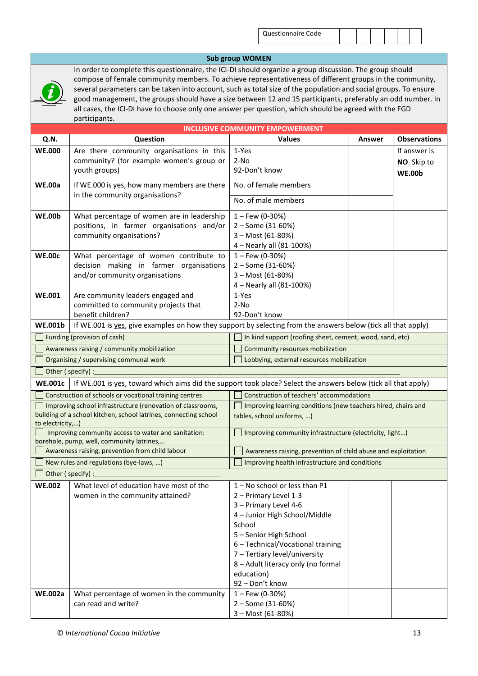#### **Sub group WOMEN**

In order to complete this questionnaire, the ICI-DI should organize a group discussion. The group should compose of female community members. To achieve representativeness of different groups in the community, several parameters can be taken into account, such as total size of the population and social groups. To ensure good management, the groups should have a size between 12 and 15 participants, preferably an odd number. In all cases, the ICI-DI have to choose only one answer per question, which should be agreed with the FGD participants.

|                                                                                                                                   |                                                                                                                                | <b>INCLUSIVE COMMUNITY EMPOWERMENT</b>                                                      |        |                     |
|-----------------------------------------------------------------------------------------------------------------------------------|--------------------------------------------------------------------------------------------------------------------------------|---------------------------------------------------------------------------------------------|--------|---------------------|
| Q.N.                                                                                                                              | Question                                                                                                                       | <b>Values</b>                                                                               | Answer | <b>Observations</b> |
| <b>WE.000</b>                                                                                                                     | Are there community organisations in this                                                                                      | 1-Yes                                                                                       |        | If answer is        |
|                                                                                                                                   | community? (for example women's group or                                                                                       | $2-NO$                                                                                      |        | NO. Skip to         |
|                                                                                                                                   | youth groups)                                                                                                                  | 92-Don't know                                                                               |        | <b>WE.00b</b>       |
| <b>WE.00a</b>                                                                                                                     | If WE.000 is yes, how many members are there                                                                                   | No. of female members                                                                       |        |                     |
|                                                                                                                                   | in the community organisations?                                                                                                | No. of male members                                                                         |        |                     |
| <b>WE.00b</b>                                                                                                                     | What percentage of women are in leadership                                                                                     | $1 -$ Few (0-30%)                                                                           |        |                     |
|                                                                                                                                   | positions, in farmer organisations and/or                                                                                      | 2 - Some (31-60%)                                                                           |        |                     |
|                                                                                                                                   | community organisations?                                                                                                       | 3 - Most (61-80%)                                                                           |        |                     |
|                                                                                                                                   |                                                                                                                                | 4 - Nearly all (81-100%)                                                                    |        |                     |
| <b>WE.00c</b>                                                                                                                     | What percentage of women contribute to                                                                                         | $1 -$ Few (0-30%)                                                                           |        |                     |
|                                                                                                                                   | decision making in farmer organisations                                                                                        | 2 - Some (31-60%)                                                                           |        |                     |
|                                                                                                                                   | and/or community organisations                                                                                                 | 3 - Most (61-80%)                                                                           |        |                     |
|                                                                                                                                   |                                                                                                                                | 4 - Nearly all (81-100%)                                                                    |        |                     |
| <b>WE.001</b>                                                                                                                     | Are community leaders engaged and                                                                                              | 1-Yes                                                                                       |        |                     |
|                                                                                                                                   | committed to community projects that                                                                                           | $2-NO$                                                                                      |        |                     |
|                                                                                                                                   | benefit children?                                                                                                              | 92-Don't know                                                                               |        |                     |
| <b>WE.001b</b>                                                                                                                    | If WE.001 is yes, give examples on how they support by selecting from the answers below (tick all that apply)                  |                                                                                             |        |                     |
| Funding (provision of cash)<br>In kind support (roofing sheet, cement, wood, sand, etc)<br>Community resources mobilization       |                                                                                                                                |                                                                                             |        |                     |
| Awareness raising / community mobilization<br>Organising / supervising communal work<br>Lobbying, external resources mobilization |                                                                                                                                |                                                                                             |        |                     |
|                                                                                                                                   |                                                                                                                                |                                                                                             |        |                     |
|                                                                                                                                   | Other (specify) :                                                                                                              |                                                                                             |        |                     |
| <b>WE.001c</b>                                                                                                                    | If WE.001 is yes, toward which aims did the support took place? Select the answers below (tick all that apply)                 |                                                                                             |        |                     |
|                                                                                                                                   | Construction of schools or vocational training centres                                                                         | Construction of teachers' accommodations                                                    |        |                     |
|                                                                                                                                   | Improving school infrastructure (renovation of classrooms,<br>building of a school kitchen, school latrines, connecting school | Improving learning conditions (new teachers hired, chairs and<br>tables, school uniforms, ) |        |                     |
| to electricity,)                                                                                                                  |                                                                                                                                |                                                                                             |        |                     |
|                                                                                                                                   | Improving community access to water and sanitation:                                                                            | Improving community infrastructure (electricity, light)                                     |        |                     |
|                                                                                                                                   | borehole, pump, well, community latrines,                                                                                      |                                                                                             |        |                     |
|                                                                                                                                   | Awareness raising, prevention from child labour                                                                                | Awareness raising, prevention of child abuse and exploitation                               |        |                     |
|                                                                                                                                   | New rules and regulations (bye-laws, )                                                                                         | Improving health infrastructure and conditions                                              |        |                     |
|                                                                                                                                   | Other (specify):                                                                                                               |                                                                                             |        |                     |
| <b>WE.002</b>                                                                                                                     | What level of education have most of the                                                                                       | 1-No school or less than P1                                                                 |        |                     |
|                                                                                                                                   | women in the community attained?                                                                                               | 2 - Primary Level 1-3                                                                       |        |                     |
|                                                                                                                                   |                                                                                                                                | 3 - Primary Level 4-6                                                                       |        |                     |
|                                                                                                                                   |                                                                                                                                | 4 - Junior High School/Middle                                                               |        |                     |
|                                                                                                                                   |                                                                                                                                | School<br>5 - Senior High School                                                            |        |                     |
|                                                                                                                                   |                                                                                                                                | 6 - Technical/Vocational training                                                           |        |                     |
|                                                                                                                                   |                                                                                                                                | 7 - Tertiary level/university                                                               |        |                     |
|                                                                                                                                   |                                                                                                                                | 8 - Adult literacy only (no formal                                                          |        |                     |
|                                                                                                                                   |                                                                                                                                | education)                                                                                  |        |                     |
|                                                                                                                                   |                                                                                                                                | 92 - Don't know                                                                             |        |                     |
| <b>WE.002a</b>                                                                                                                    | What percentage of women in the community                                                                                      | $1 -$ Few (0-30%)                                                                           |        |                     |
|                                                                                                                                   | can read and write?                                                                                                            | 2 - Some (31-60%)                                                                           |        |                     |
|                                                                                                                                   |                                                                                                                                | 3 - Most (61-80%)                                                                           |        |                     |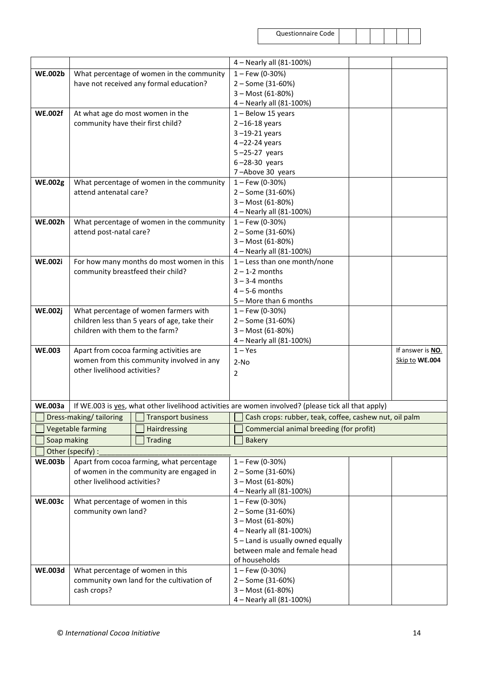|                |                                   |                                               | 4 - Nearly all (81-100%)                                                                            |
|----------------|-----------------------------------|-----------------------------------------------|-----------------------------------------------------------------------------------------------------|
|                |                                   |                                               |                                                                                                     |
| <b>WE.002b</b> |                                   | What percentage of women in the community     | $1 -$ Few (0-30%)                                                                                   |
|                |                                   | have not received any formal education?       | 2 - Some (31-60%)                                                                                   |
|                |                                   |                                               | 3 - Most (61-80%)                                                                                   |
|                |                                   |                                               | 4 - Nearly all (81-100%)                                                                            |
| <b>WE.002f</b> |                                   | At what age do most women in the              | 1 - Below 15 years                                                                                  |
|                | community have their first child? |                                               | $2 - 16 - 18$ years                                                                                 |
|                |                                   |                                               | 3-19-21 years                                                                                       |
|                |                                   |                                               | $4 - 22 - 24$ years                                                                                 |
|                |                                   |                                               | $5 - 25 - 27$ years                                                                                 |
|                |                                   |                                               | $6 - 28 - 30$ years                                                                                 |
|                |                                   |                                               | 7-Above 30 years                                                                                    |
| <b>WE.002g</b> |                                   | What percentage of women in the community     | $1 -$ Few (0-30%)                                                                                   |
|                | attend antenatal care?            |                                               | 2 - Some (31-60%)                                                                                   |
|                |                                   |                                               | 3 - Most (61-80%)                                                                                   |
|                |                                   |                                               | 4 - Nearly all (81-100%)                                                                            |
| <b>WE.002h</b> |                                   | What percentage of women in the community     | $1 -$ Few (0-30%)                                                                                   |
|                | attend post-natal care?           |                                               | 2 - Some (31-60%)                                                                                   |
|                |                                   |                                               | 3 - Most (61-80%)                                                                                   |
|                |                                   |                                               | 4 - Nearly all (81-100%)                                                                            |
| <b>WE.002i</b> |                                   | For how many months do most women in this     | $1$ – Less than one month/none                                                                      |
|                | community breastfeed their child? |                                               | $2 - 1 - 2$ months                                                                                  |
|                |                                   |                                               | $3 - 3 - 4$ months                                                                                  |
|                |                                   |                                               | $4 - 5 - 6$ months                                                                                  |
|                |                                   |                                               | 5 - More than 6 months                                                                              |
| <b>WE.002j</b> |                                   | What percentage of women farmers with         | $1 -$ Few (0-30%)                                                                                   |
|                |                                   | children less than 5 years of age, take their | 2 - Some (31-60%)                                                                                   |
|                | children with them to the farm?   |                                               | 3 - Most (61-80%)                                                                                   |
|                |                                   |                                               | 4 - Nearly all (81-100%)                                                                            |
| <b>WE.003</b>  |                                   | Apart from cocoa farming activities are       | If answer is NO.<br>$1 - Yes$                                                                       |
|                |                                   | women from this community involved in any     | Skip to WE.004<br>$2-NO$                                                                            |
|                | other livelihood activities?      |                                               | 2                                                                                                   |
|                |                                   |                                               |                                                                                                     |
|                |                                   |                                               |                                                                                                     |
| <b>WE.003a</b> |                                   |                                               | If WE.003 is yes, what other livelihood activities are women involved? (please tick all that apply) |
|                | Dress-making/tailoring   TT       | <b>Transport business</b>                     | $\blacksquare$<br>Cash crops: rubber, teak, coffee, cashew nut, oil palm                            |
|                | Vegetable farming                 | Hairdressing                                  | Commercial animal breeding (for profit)                                                             |
|                |                                   |                                               |                                                                                                     |
| Soap making    |                                   | <b>Trading</b>                                | <b>Bakery</b>                                                                                       |
|                | Other (specify) :                 |                                               |                                                                                                     |
| <b>WE.003b</b> |                                   | Apart from cocoa farming, what percentage     | $1 -$ Few (0-30%)                                                                                   |
|                |                                   | of women in the community are engaged in      | 2 - Some (31-60%)                                                                                   |
|                | other livelihood activities?      |                                               | 3 - Most (61-80%)                                                                                   |
|                |                                   |                                               | 4 - Nearly all (81-100%)                                                                            |
| <b>WE.003c</b> | What percentage of women in this  |                                               | $1 -$ Few (0-30%)                                                                                   |
|                | community own land?               |                                               | 2 - Some (31-60%)                                                                                   |
|                |                                   |                                               | 3 - Most (61-80%)                                                                                   |
|                |                                   |                                               | 4 - Nearly all (81-100%)                                                                            |
|                |                                   |                                               | 5 - Land is usually owned equally                                                                   |
|                |                                   |                                               | between male and female head                                                                        |
|                |                                   |                                               | of households                                                                                       |
| <b>WE.003d</b> | What percentage of women in this  |                                               | $1 -$ Few (0-30%)                                                                                   |
|                |                                   | community own land for the cultivation of     | 2 - Some (31-60%)                                                                                   |
|                | cash crops?                       |                                               | 3 - Most (61-80%)                                                                                   |
|                |                                   |                                               | 4 - Nearly all (81-100%)                                                                            |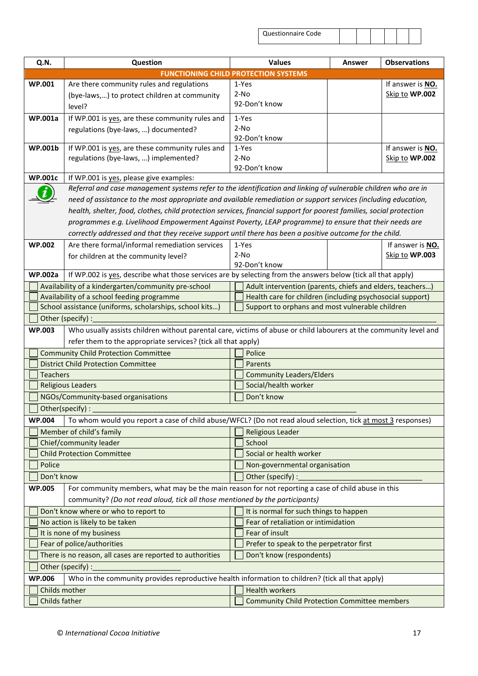| Questionnaire Code |  |  |  |  |  |  |
|--------------------|--|--|--|--|--|--|
|--------------------|--|--|--|--|--|--|

| Q.N.                                                                                                       | Question                                                                                                             |                                                           | <b>Values</b>                                             | Answer | <b>Observations</b> |  |  |
|------------------------------------------------------------------------------------------------------------|----------------------------------------------------------------------------------------------------------------------|-----------------------------------------------------------|-----------------------------------------------------------|--------|---------------------|--|--|
|                                                                                                            | <b>FUNCTIONING CHILD PROTECTION SYSTEMS</b>                                                                          |                                                           |                                                           |        |                     |  |  |
| <b>WP.001</b>                                                                                              | Are there community rules and regulations                                                                            |                                                           | 1-Yes                                                     |        | If answer is NO.    |  |  |
|                                                                                                            | (bye-laws,) to protect children at community                                                                         | $2-NO$                                                    |                                                           |        | Skip to WP.002      |  |  |
|                                                                                                            | level?                                                                                                               |                                                           | 92-Don't know                                             |        |                     |  |  |
| <b>WP.001a</b>                                                                                             | If WP.001 is yes, are these community rules and                                                                      |                                                           | 1-Yes                                                     |        |                     |  |  |
|                                                                                                            | regulations (bye-laws, ) documented?                                                                                 | $2-NO$                                                    |                                                           |        |                     |  |  |
|                                                                                                            |                                                                                                                      |                                                           | 92-Don't know                                             |        |                     |  |  |
| <b>WP.001b</b>                                                                                             | If WP.001 is yes, are these community rules and                                                                      |                                                           | 1-Yes                                                     |        | If answer is NO.    |  |  |
|                                                                                                            | regulations (bye-laws, ) implemented?                                                                                | $2-NO$                                                    | 92-Don't know                                             |        | Skip to WP.002      |  |  |
| <b>WP.001c</b>                                                                                             | If WP.001 is yes, please give examples:                                                                              |                                                           |                                                           |        |                     |  |  |
|                                                                                                            | Referral and case management systems refer to the identification and linking of vulnerable children who are in       |                                                           |                                                           |        |                     |  |  |
|                                                                                                            | need of assistance to the most appropriate and available remediation or support services (including education,       |                                                           |                                                           |        |                     |  |  |
|                                                                                                            | health, shelter, food, clothes, child protection services, financial support for poorest families, social protection |                                                           |                                                           |        |                     |  |  |
|                                                                                                            | programmes e.g. Livelihood Empowerment Against Poverty, LEAP programme) to ensure that their needs are               |                                                           |                                                           |        |                     |  |  |
|                                                                                                            | correctly addressed and that they receive support until there has been a positive outcome for the child.             |                                                           |                                                           |        |                     |  |  |
| <b>WP.002</b>                                                                                              | Are there formal/informal remediation services                                                                       |                                                           | 1-Yes                                                     |        | If answer is NO.    |  |  |
|                                                                                                            | for children at the community level?                                                                                 | $2-NO$                                                    |                                                           |        | Skip to WP.003      |  |  |
|                                                                                                            |                                                                                                                      |                                                           | 92-Don't know                                             |        |                     |  |  |
| <b>WP.002a</b>                                                                                             | If WP.002 is yes, describe what those services are by selecting from the answers below (tick all that apply)         |                                                           |                                                           |        |                     |  |  |
|                                                                                                            | Availability of a kindergarten/community pre-school                                                                  |                                                           | Adult intervention (parents, chiefs and elders, teachers) |        |                     |  |  |
|                                                                                                            | Availability of a school feeding programme                                                                           | Health care for children (including psychosocial support) |                                                           |        |                     |  |  |
| School assistance (uniforms, scholarships, school kits)<br>Support to orphans and most vulnerable children |                                                                                                                      |                                                           |                                                           |        |                     |  |  |
|                                                                                                            | Other (specify) :                                                                                                    |                                                           |                                                           |        |                     |  |  |
| <b>WP.003</b>                                                                                              | Who usually assists children without parental care, victims of abuse or child labourers at the community level and   |                                                           |                                                           |        |                     |  |  |
|                                                                                                            | refer them to the appropriate services? (tick all that apply)                                                        |                                                           |                                                           |        |                     |  |  |
|                                                                                                            | <b>Community Child Protection Committee</b>                                                                          | Police                                                    |                                                           |        |                     |  |  |
|                                                                                                            | <b>District Child Protection Committee</b>                                                                           | Parents<br><b>Community Leaders/Elders</b>                |                                                           |        |                     |  |  |
| <b>Teachers</b>                                                                                            |                                                                                                                      | Social/health worker                                      |                                                           |        |                     |  |  |
|                                                                                                            | <b>Religious Leaders</b>                                                                                             |                                                           |                                                           |        |                     |  |  |
|                                                                                                            | NGOs/Community-based organisations                                                                                   |                                                           | Don't know                                                |        |                     |  |  |
|                                                                                                            | Other(specify) :                                                                                                     |                                                           |                                                           |        |                     |  |  |
| <b>WP.004</b>                                                                                              | To whom would you report a case of child abuse/WFCL? (Do not read aloud selection, tick at most 3 responses)         |                                                           |                                                           |        |                     |  |  |
|                                                                                                            | Member of child's family<br>Chief/community leader                                                                   |                                                           | Religious Leader                                          |        |                     |  |  |
|                                                                                                            | <b>Child Protection Committee</b>                                                                                    | School<br>Social or health worker                         |                                                           |        |                     |  |  |
| Police                                                                                                     |                                                                                                                      | Non-governmental organisation                             |                                                           |        |                     |  |  |
| Don't know                                                                                                 |                                                                                                                      |                                                           | Other (specify) :                                         |        |                     |  |  |
| <b>WP.005</b>                                                                                              | For community members, what may be the main reason for not reporting a case of child abuse in this                   |                                                           |                                                           |        |                     |  |  |
|                                                                                                            | community? (Do not read aloud, tick all those mentioned by the participants)                                         |                                                           |                                                           |        |                     |  |  |
|                                                                                                            | Don't know where or who to report to                                                                                 |                                                           | It is normal for such things to happen                    |        |                     |  |  |
|                                                                                                            | No action is likely to be taken                                                                                      |                                                           | Fear of retaliation or intimidation                       |        |                     |  |  |
|                                                                                                            | It is none of my business                                                                                            |                                                           | Fear of insult                                            |        |                     |  |  |
| Fear of police/authorities                                                                                 |                                                                                                                      |                                                           | Prefer to speak to the perpetrator first                  |        |                     |  |  |
| There is no reason, all cases are reported to authorities                                                  |                                                                                                                      |                                                           | Don't know (respondents)                                  |        |                     |  |  |
|                                                                                                            | Other (specify) :                                                                                                    |                                                           |                                                           |        |                     |  |  |
| <b>WP.006</b>                                                                                              | Who in the community provides reproductive health information to children? (tick all that apply)                     |                                                           |                                                           |        |                     |  |  |
| Childs mother                                                                                              |                                                                                                                      |                                                           | <b>Health workers</b>                                     |        |                     |  |  |
| Childs father                                                                                              |                                                                                                                      |                                                           | <b>Community Child Protection Committee members</b>       |        |                     |  |  |
|                                                                                                            |                                                                                                                      |                                                           |                                                           |        |                     |  |  |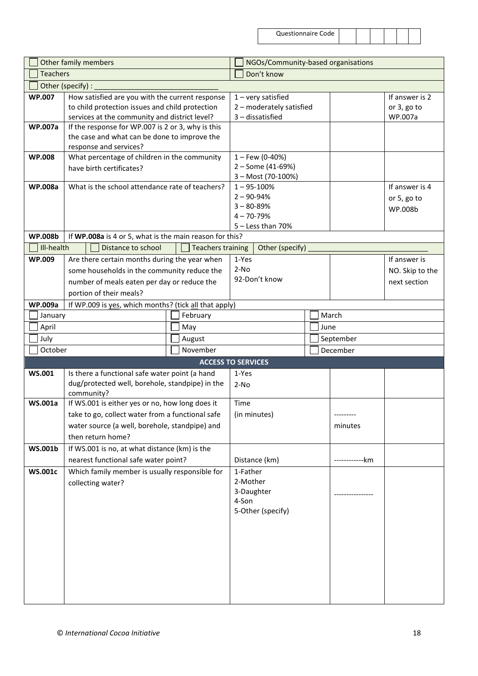| e Code |  |  |  |  |
|--------|--|--|--|--|
|        |  |  |  |  |

|                                                               | Other family members                                    |                                        | NGOs/Community-based organisations |  |      |                |                 |
|---------------------------------------------------------------|---------------------------------------------------------|----------------------------------------|------------------------------------|--|------|----------------|-----------------|
| <b>Teachers</b>                                               |                                                         |                                        | Don't know                         |  |      |                |                 |
|                                                               | Other (specify) :                                       |                                        |                                    |  |      |                |                 |
| <b>WP.007</b>                                                 | How satisfied are you with the current response         |                                        | $1 -$ very satisfied               |  |      |                | If answer is 2  |
|                                                               | to child protection issues and child protection         |                                        | 2 - moderately satisfied           |  |      |                | or 3, go to     |
|                                                               | services at the community and district level?           |                                        | 3-dissatisfied                     |  |      |                | WP.007a         |
| <b>WP.007a</b>                                                | If the response for WP.007 is 2 or 3, why is this       |                                        |                                    |  |      |                |                 |
|                                                               | the case and what can be done to improve the            |                                        |                                    |  |      |                |                 |
|                                                               | response and services?                                  |                                        |                                    |  |      |                |                 |
| <b>WP.008</b><br>What percentage of children in the community |                                                         | $1 -$ Few (0-40%)<br>2 - Some (41-69%) |                                    |  |      |                |                 |
|                                                               | have birth certificates?                                |                                        | 3 - Most (70-100%)                 |  |      |                |                 |
| <b>WP.008a</b>                                                | What is the school attendance rate of teachers?         |                                        | $1 - 95 - 100%$                    |  |      |                | If answer is 4  |
|                                                               |                                                         |                                        | $2 - 90 - 94%$                     |  |      |                | or 5, go to     |
|                                                               |                                                         |                                        | $3 - 80 - 89%$                     |  |      |                | WP.008b         |
|                                                               |                                                         |                                        | $4 - 70 - 79%$                     |  |      |                |                 |
|                                                               |                                                         |                                        | $5 -$ Less than 70%                |  |      |                |                 |
| <b>WP.008b</b>                                                | If WP.008a is 4 or 5, what is the main reason for this? |                                        |                                    |  |      |                |                 |
| Ill-health                                                    | Distance to school                                      | <b>Teachers training</b>               | Other (specify)                    |  |      |                |                 |
| <b>WP.009</b>                                                 | Are there certain months during the year when           |                                        | 1-Yes                              |  |      |                | If answer is    |
|                                                               | some households in the community reduce the             |                                        | $2-NO$                             |  |      |                | NO. Skip to the |
|                                                               | number of meals eaten per day or reduce the             |                                        | 92-Don't know                      |  |      |                | next section    |
|                                                               | portion of their meals?                                 |                                        |                                    |  |      |                |                 |
| <b>WP.009a</b>                                                | If WP.009 is yes, which months? (tick all that apply)   |                                        |                                    |  |      |                |                 |
| January                                                       |                                                         | February                               |                                    |  |      | March          |                 |
| April                                                         |                                                         | May                                    |                                    |  | June |                |                 |
| July                                                          |                                                         | August                                 | September                          |  |      |                |                 |
| October                                                       |                                                         | November                               |                                    |  |      | December       |                 |
|                                                               |                                                         |                                        | <b>ACCESS TO SERVICES</b>          |  |      |                |                 |
| <b>WS.001</b>                                                 | Is there a functional safe water point (a hand          |                                        | 1-Yes                              |  |      |                |                 |
|                                                               | dug/protected well, borehole, standpipe) in the         |                                        | $2-NO$                             |  |      |                |                 |
|                                                               | community?                                              |                                        |                                    |  |      |                |                 |
| <b>WS.001a</b>                                                | If WS.001 is either yes or no, how long does it         |                                        | Time                               |  |      |                |                 |
|                                                               | take to go, collect water from a functional safe        |                                        | (in minutes)                       |  |      |                |                 |
|                                                               | water source (a well, borehole, standpipe) and          |                                        |                                    |  |      | minutes        |                 |
|                                                               | then return home?                                       |                                        |                                    |  |      |                |                 |
| <b>WS.001b</b>                                                | If WS.001 is no, at what distance (km) is the           |                                        |                                    |  |      |                |                 |
|                                                               | nearest functional safe water point?                    |                                        | Distance (km)                      |  |      | ------------km |                 |
| <b>WS.001c</b>                                                | Which family member is usually responsible for          |                                        | 1-Father                           |  |      |                |                 |
|                                                               | collecting water?                                       |                                        | 2-Mother                           |  |      |                |                 |
|                                                               |                                                         |                                        | 3-Daughter                         |  |      |                |                 |
|                                                               |                                                         |                                        | 4-Son                              |  |      |                |                 |
|                                                               |                                                         |                                        | 5-Other (specify)                  |  |      |                |                 |
|                                                               |                                                         |                                        |                                    |  |      |                |                 |
|                                                               |                                                         |                                        |                                    |  |      |                |                 |
|                                                               |                                                         |                                        |                                    |  |      |                |                 |
|                                                               |                                                         |                                        |                                    |  |      |                |                 |
|                                                               |                                                         |                                        |                                    |  |      |                |                 |
|                                                               |                                                         |                                        |                                    |  |      |                |                 |
|                                                               |                                                         |                                        |                                    |  |      |                |                 |
|                                                               |                                                         |                                        |                                    |  |      |                |                 |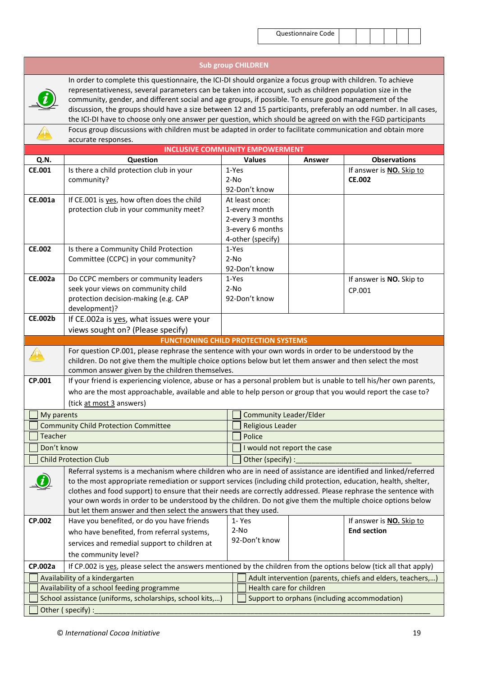$\mathcal{L}_{\text{max}}$ 

|                |                                                                                                                                                                                                                                                                                                                                                                                                                                                                                                                                                                       |                             | <b>Sub group CHILDREN</b> |        |                                                            |  |
|----------------|-----------------------------------------------------------------------------------------------------------------------------------------------------------------------------------------------------------------------------------------------------------------------------------------------------------------------------------------------------------------------------------------------------------------------------------------------------------------------------------------------------------------------------------------------------------------------|-----------------------------|---------------------------|--------|------------------------------------------------------------|--|
|                | In order to complete this questionnaire, the ICI-DI should organize a focus group with children. To achieve<br>representativeness, several parameters can be taken into account, such as children population size in the<br>community, gender, and different social and age groups, if possible. To ensure good management of the<br>discussion, the groups should have a size between 12 and 15 participants, preferably an odd number. In all cases,<br>the ICI-DI have to choose only one answer per question, which should be agreed on with the FGD participants |                             |                           |        |                                                            |  |
|                | Focus group discussions with children must be adapted in order to facilitate communication and obtain more                                                                                                                                                                                                                                                                                                                                                                                                                                                            |                             |                           |        |                                                            |  |
|                | accurate responses.                                                                                                                                                                                                                                                                                                                                                                                                                                                                                                                                                   |                             |                           |        |                                                            |  |
|                | <b>INCLUSIVE COMMUNITY EMPOWERMENT</b>                                                                                                                                                                                                                                                                                                                                                                                                                                                                                                                                |                             |                           |        |                                                            |  |
| Q.N.           | Question                                                                                                                                                                                                                                                                                                                                                                                                                                                                                                                                                              |                             | <b>Values</b>             | Answer | <b>Observations</b>                                        |  |
| <b>CE.001</b>  | Is there a child protection club in your                                                                                                                                                                                                                                                                                                                                                                                                                                                                                                                              | 1-Yes                       |                           |        | If answer is NO. Skip to                                   |  |
|                | community?                                                                                                                                                                                                                                                                                                                                                                                                                                                                                                                                                            | $2-NO$                      |                           |        | <b>CE.002</b>                                              |  |
|                |                                                                                                                                                                                                                                                                                                                                                                                                                                                                                                                                                                       |                             | 92-Don't know             |        |                                                            |  |
| <b>CE.001a</b> | If CE.001 is yes, how often does the child                                                                                                                                                                                                                                                                                                                                                                                                                                                                                                                            |                             | At least once:            |        |                                                            |  |
|                | protection club in your community meet?                                                                                                                                                                                                                                                                                                                                                                                                                                                                                                                               |                             | 1-every month             |        |                                                            |  |
|                |                                                                                                                                                                                                                                                                                                                                                                                                                                                                                                                                                                       |                             | 2-every 3 months          |        |                                                            |  |
|                |                                                                                                                                                                                                                                                                                                                                                                                                                                                                                                                                                                       |                             | 3-every 6 months          |        |                                                            |  |
|                |                                                                                                                                                                                                                                                                                                                                                                                                                                                                                                                                                                       |                             | 4-other (specify)         |        |                                                            |  |
| <b>CE.002</b>  | Is there a Community Child Protection                                                                                                                                                                                                                                                                                                                                                                                                                                                                                                                                 | 1-Yes<br>$2-NO$             |                           |        |                                                            |  |
|                | Committee (CCPC) in your community?                                                                                                                                                                                                                                                                                                                                                                                                                                                                                                                                   |                             | 92-Don't know             |        |                                                            |  |
| <b>CE.002a</b> | Do CCPC members or community leaders                                                                                                                                                                                                                                                                                                                                                                                                                                                                                                                                  | 1-Yes                       |                           |        | If answer is NO. Skip to                                   |  |
|                | seek your views on community child                                                                                                                                                                                                                                                                                                                                                                                                                                                                                                                                    | $2-NO$                      |                           |        | CP.001                                                     |  |
|                | protection decision-making (e.g. CAP                                                                                                                                                                                                                                                                                                                                                                                                                                                                                                                                  |                             | 92-Don't know             |        |                                                            |  |
|                | development)?                                                                                                                                                                                                                                                                                                                                                                                                                                                                                                                                                         |                             |                           |        |                                                            |  |
| <b>CE.002b</b> | If CE.002a is yes, what issues were your                                                                                                                                                                                                                                                                                                                                                                                                                                                                                                                              |                             |                           |        |                                                            |  |
|                | views sought on? (Please specify)                                                                                                                                                                                                                                                                                                                                                                                                                                                                                                                                     |                             |                           |        |                                                            |  |
|                | <b>FUNCTIONING CHILD PROTECTION SYSTEMS</b>                                                                                                                                                                                                                                                                                                                                                                                                                                                                                                                           |                             |                           |        |                                                            |  |
|                | For question CP.001, please rephrase the sentence with your own words in order to be understood by the                                                                                                                                                                                                                                                                                                                                                                                                                                                                |                             |                           |        |                                                            |  |
|                | children. Do not give them the multiple choice options below but let them answer and then select the most                                                                                                                                                                                                                                                                                                                                                                                                                                                             |                             |                           |        |                                                            |  |
|                | common answer given by the children themselves.                                                                                                                                                                                                                                                                                                                                                                                                                                                                                                                       |                             |                           |        |                                                            |  |
| CP.001         | If your friend is experiencing violence, abuse or has a personal problem but is unable to tell his/her own parents,                                                                                                                                                                                                                                                                                                                                                                                                                                                   |                             |                           |        |                                                            |  |
|                | who are the most approachable, available and able to help person or group that you would report the case to?                                                                                                                                                                                                                                                                                                                                                                                                                                                          |                             |                           |        |                                                            |  |
|                | (tick at most 3 answers)                                                                                                                                                                                                                                                                                                                                                                                                                                                                                                                                              |                             |                           |        |                                                            |  |
| My parents     |                                                                                                                                                                                                                                                                                                                                                                                                                                                                                                                                                                       |                             | Community Leader/Elder    |        |                                                            |  |
|                | <b>Community Child Protection Committee</b>                                                                                                                                                                                                                                                                                                                                                                                                                                                                                                                           |                             | Religious Leader          |        |                                                            |  |
| <b>Teacher</b> |                                                                                                                                                                                                                                                                                                                                                                                                                                                                                                                                                                       |                             | Police                    |        |                                                            |  |
| Don't know     |                                                                                                                                                                                                                                                                                                                                                                                                                                                                                                                                                                       | I would not report the case |                           |        |                                                            |  |
|                | <b>Child Protection Club</b>                                                                                                                                                                                                                                                                                                                                                                                                                                                                                                                                          | Other (specify) :           |                           |        |                                                            |  |
|                | Referral systems is a mechanism where children who are in need of assistance are identified and linked/referred                                                                                                                                                                                                                                                                                                                                                                                                                                                       |                             |                           |        |                                                            |  |
|                | to the most appropriate remediation or support services (including child protection, education, health, shelter,                                                                                                                                                                                                                                                                                                                                                                                                                                                      |                             |                           |        |                                                            |  |
|                | clothes and food support) to ensure that their needs are correctly addressed. Please rephrase the sentence with                                                                                                                                                                                                                                                                                                                                                                                                                                                       |                             |                           |        |                                                            |  |
|                | your own words in order to be understood by the children. Do not give them the multiple choice options below                                                                                                                                                                                                                                                                                                                                                                                                                                                          |                             |                           |        |                                                            |  |
|                | but let them answer and then select the answers that they used.                                                                                                                                                                                                                                                                                                                                                                                                                                                                                                       |                             |                           |        |                                                            |  |
| CP.002         | Have you benefited, or do you have friends                                                                                                                                                                                                                                                                                                                                                                                                                                                                                                                            |                             | 1-Yes                     |        | If answer is NO. Skip to                                   |  |
|                | who have benefited, from referral systems,                                                                                                                                                                                                                                                                                                                                                                                                                                                                                                                            |                             | $2-NO$                    |        | <b>End section</b>                                         |  |
|                | services and remedial support to children at                                                                                                                                                                                                                                                                                                                                                                                                                                                                                                                          |                             | 92-Don't know             |        |                                                            |  |
|                | the community level?                                                                                                                                                                                                                                                                                                                                                                                                                                                                                                                                                  |                             |                           |        |                                                            |  |
| CP.002a        | If CP.002 is yes, please select the answers mentioned by the children from the options below (tick all that apply)                                                                                                                                                                                                                                                                                                                                                                                                                                                    |                             |                           |        |                                                            |  |
|                | Availability of a kindergarten                                                                                                                                                                                                                                                                                                                                                                                                                                                                                                                                        |                             |                           |        | Adult intervention (parents, chiefs and elders, teachers,) |  |
|                | Availability of a school feeding programme                                                                                                                                                                                                                                                                                                                                                                                                                                                                                                                            |                             | Health care for children  |        |                                                            |  |
|                | School assistance (uniforms, scholarships, school kits,)                                                                                                                                                                                                                                                                                                                                                                                                                                                                                                              |                             |                           |        | Support to orphans (including accommodation)               |  |
|                | Other (specify) :                                                                                                                                                                                                                                                                                                                                                                                                                                                                                                                                                     |                             |                           |        |                                                            |  |
|                |                                                                                                                                                                                                                                                                                                                                                                                                                                                                                                                                                                       |                             |                           |        |                                                            |  |

Ē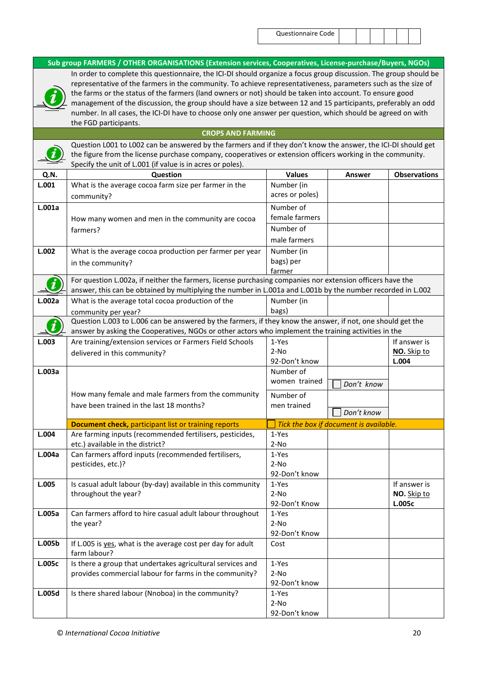$\boldsymbol{i}$ 

**Sub group FARMERS / OTHER ORGANISATIONS (Extension services, Cooperatives, License-purchase/Buyers, NGOs)** In order to complete this questionnaire, the ICI-DI should organize a focus group discussion. The group should be

representative of the farmers in the community. To achieve representativeness, parameters such as the size of the farms or the status of the farmers (land owners or not) should be taken into account. To ensure good management of the discussion, the group should have a size between 12 and 15 participants, preferably an odd number. In all cases, the ICI-DI have to choose only one answer per question, which should be agreed on with the FGD participants.

#### **CROPS AND FARMING**

Question L001 to L002 can be answered by the farmers and if they don't know the answer, the ICI-DI should get the figure from the license purchase company, cooperatives or extension officers working in the community. Specify the unit of L.001 (if value is in acres or poles).

| Q.N.   | Question                                                                                                    | <b>Values</b>   | Answer                                 | <b>Observations</b>         |
|--------|-------------------------------------------------------------------------------------------------------------|-----------------|----------------------------------------|-----------------------------|
| L.001  | What is the average cocoa farm size per farmer in the                                                       | Number (in      |                                        |                             |
|        | community?                                                                                                  | acres or poles) |                                        |                             |
| L.001a |                                                                                                             | Number of       |                                        |                             |
|        | How many women and men in the community are cocoa                                                           | female farmers  |                                        |                             |
|        | farmers?                                                                                                    | Number of       |                                        |                             |
|        |                                                                                                             | male farmers    |                                        |                             |
| L.002  | What is the average cocoa production per farmer per year                                                    | Number (in      |                                        |                             |
|        | in the community?                                                                                           | bags) per       |                                        |                             |
|        |                                                                                                             | farmer          |                                        |                             |
|        | For question L.002a, if neither the farmers, license purchasing companies nor extension officers have the   |                 |                                        |                             |
|        | answer, this can be obtained by multiplying the number in L.001a and L.001b by the number recorded in L.002 |                 |                                        |                             |
| L.002a | What is the average total cocoa production of the                                                           | Number (in      |                                        |                             |
|        | community per year?                                                                                         | bags)           |                                        |                             |
|        | Question L.003 to L.006 can be answered by the farmers, if they know the answer, if not, one should get the |                 |                                        |                             |
|        | answer by asking the Cooperatives, NGOs or other actors who implement the training activities in the        |                 |                                        |                             |
| L.003  | Are training/extension services or Farmers Field Schools                                                    | 1-Yes           |                                        | If answer is                |
|        | delivered in this community?                                                                                | $2-NO$          |                                        | NO. Skip to                 |
|        |                                                                                                             | 92-Don't know   |                                        | L.004                       |
| L.003a |                                                                                                             | Number of       |                                        |                             |
|        |                                                                                                             | women trained   | Don't know                             |                             |
|        | How many female and male farmers from the community                                                         | Number of       |                                        |                             |
|        | have been trained in the last 18 months?                                                                    | men trained     |                                        |                             |
|        |                                                                                                             |                 | Don't know                             |                             |
|        | <b>Document check, participant list or training reports</b>                                                 |                 | Tick the box if document is available. |                             |
| L.004  | Are farming inputs (recommended fertilisers, pesticides,                                                    | 1-Yes           |                                        |                             |
|        | etc.) available in the district?                                                                            | $2-NO$          |                                        |                             |
| L.004a | Can farmers afford inputs (recommended fertilisers,                                                         | 1-Yes           |                                        |                             |
|        | pesticides, etc.)?                                                                                          | $2-NO$          |                                        |                             |
| L.005  |                                                                                                             | 92-Don't know   |                                        |                             |
|        | Is casual adult labour (by-day) available in this community<br>throughout the year?                         | 1-Yes<br>$2-NO$ |                                        | If answer is<br>NO. Skip to |
|        |                                                                                                             | 92-Don't Know   |                                        | L.005c                      |
| L.005a | Can farmers afford to hire casual adult labour throughout                                                   | 1-Yes           |                                        |                             |
|        | the year?                                                                                                   | $2-NO$          |                                        |                             |
|        |                                                                                                             | 92-Don't Know   |                                        |                             |
| L.005b | If L.005 is yes, what is the average cost per day for adult                                                 | Cost            |                                        |                             |
|        | farm labour?                                                                                                |                 |                                        |                             |
| L.005c | Is there a group that undertakes agricultural services and                                                  | 1-Yes           |                                        |                             |
|        | provides commercial labour for farms in the community?                                                      | $2-NO$          |                                        |                             |
|        |                                                                                                             | 92-Don't know   |                                        |                             |
| L.005d | Is there shared labour (Nnoboa) in the community?                                                           | 1-Yes           |                                        |                             |
|        |                                                                                                             | $2-NO$          |                                        |                             |
|        |                                                                                                             | 92-Don't know   |                                        |                             |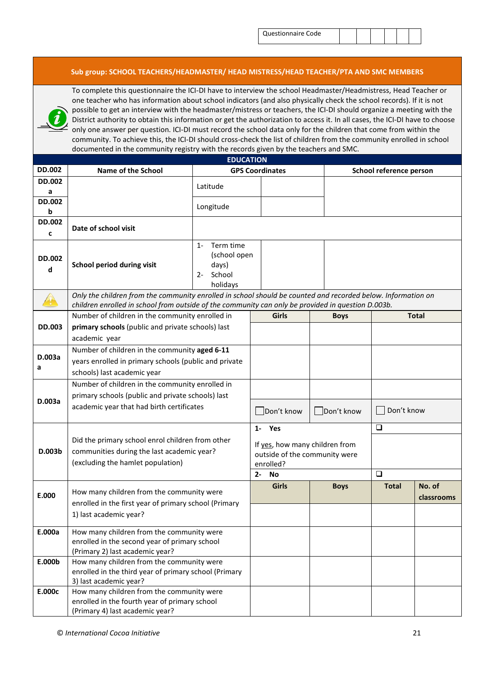| Questionnaire Code |  |
|--------------------|--|
|--------------------|--|

#### **Sub group: SCHOOL TEACHERS/HEADMASTER/ HEAD MISTRESS/HEAD TEACHER/PTA AND SMC MEMBERS**

To complete this questionnaire the ICI-DI have to interview the school Headmaster/Headmistress, Head Teacher or one teacher who has information about school indicators (and also physically check the school records). If it is not possible to get an interview with the headmaster/mistress or teachers, the ICI-DI should organize a meeting with the District authority to obtain this information or get the authorization to access it. In all cases, the ICI-DI have to choose only one answer per question. ICI-DI must record the school data only for the children that come from within the community. To achieve this, the ICI-DI should cross-check the list of children from the community enrolled in school documented in the community registry with the records given by the teachers and SMC.

| <b>EDUCATION</b> |                                                                                                              |                                    |                                |             |                         |              |  |  |
|------------------|--------------------------------------------------------------------------------------------------------------|------------------------------------|--------------------------------|-------------|-------------------------|--------------|--|--|
| <b>DD.002</b>    | <b>Name of the School</b>                                                                                    |                                    | <b>GPS Coordinates</b>         |             | School reference person |              |  |  |
| <b>DD.002</b>    |                                                                                                              | Latitude                           |                                |             |                         |              |  |  |
| а                |                                                                                                              |                                    |                                |             |                         |              |  |  |
| <b>DD.002</b>    |                                                                                                              | Longitude                          |                                |             |                         |              |  |  |
| b                |                                                                                                              |                                    |                                |             |                         |              |  |  |
| <b>DD.002</b>    | Date of school visit                                                                                         |                                    |                                |             |                         |              |  |  |
| c                |                                                                                                              |                                    |                                |             |                         |              |  |  |
|                  |                                                                                                              | Term time<br>$1 -$<br>(school open |                                |             |                         |              |  |  |
| <b>DD.002</b>    | School period during visit                                                                                   | days)                              |                                |             |                         |              |  |  |
| d                |                                                                                                              | School<br>$2 -$                    |                                |             |                         |              |  |  |
|                  |                                                                                                              | holidays                           |                                |             |                         |              |  |  |
|                  | Only the children from the community enrolled in school should be counted and recorded below. Information on |                                    |                                |             |                         |              |  |  |
|                  | children enrolled in school from outside of the community can only be provided in question D.003b.           |                                    |                                |             |                         |              |  |  |
|                  | Number of children in the community enrolled in                                                              |                                    | <b>Girls</b>                   | <b>Boys</b> |                         | <b>Total</b> |  |  |
| <b>DD.003</b>    | primary schools (public and private schools) last                                                            |                                    |                                |             |                         |              |  |  |
|                  | academic year                                                                                                |                                    |                                |             |                         |              |  |  |
| D.003a           | Number of children in the community aged 6-11                                                                |                                    |                                |             |                         |              |  |  |
| а                | years enrolled in primary schools (public and private                                                        |                                    |                                |             |                         |              |  |  |
|                  | schools) last academic year                                                                                  |                                    |                                |             |                         |              |  |  |
|                  | Number of children in the community enrolled in                                                              |                                    |                                |             |                         |              |  |  |
| D.003a           | primary schools (public and private schools) last                                                            |                                    |                                |             |                         |              |  |  |
|                  | academic year that had birth certificates                                                                    |                                    | Don't know                     | Don't know  | Don't know              |              |  |  |
|                  |                                                                                                              |                                    |                                |             |                         |              |  |  |
|                  |                                                                                                              |                                    | 1- Yes                         |             | $\Box$                  |              |  |  |
|                  | Did the primary school enrol children from other                                                             |                                    | If yes, how many children from |             |                         |              |  |  |
| D.003b           | communities during the last academic year?                                                                   |                                    | outside of the community were  |             |                         |              |  |  |
|                  | (excluding the hamlet population)                                                                            |                                    | enrolled?                      |             |                         |              |  |  |
|                  |                                                                                                              |                                    | $2 -$<br>No                    |             | $\Box$                  |              |  |  |
|                  | How many children from the community were                                                                    |                                    | <b>Girls</b>                   | <b>Boys</b> | <b>Total</b>            | No. of       |  |  |
| E.000            | enrolled in the first year of primary school (Primary                                                        |                                    |                                |             |                         | classrooms   |  |  |
|                  | 1) last academic year?                                                                                       |                                    |                                |             |                         |              |  |  |
|                  |                                                                                                              |                                    |                                |             |                         |              |  |  |
| E.000a           | How many children from the community were                                                                    |                                    |                                |             |                         |              |  |  |
|                  | enrolled in the second year of primary school                                                                |                                    |                                |             |                         |              |  |  |
| E.000b           | (Primary 2) last academic year?<br>How many children from the community were                                 |                                    |                                |             |                         |              |  |  |
|                  | enrolled in the third year of primary school (Primary                                                        |                                    |                                |             |                         |              |  |  |
|                  | 3) last academic year?                                                                                       |                                    |                                |             |                         |              |  |  |
| E.000c           | How many children from the community were                                                                    |                                    |                                |             |                         |              |  |  |
|                  | enrolled in the fourth year of primary school                                                                |                                    |                                |             |                         |              |  |  |
|                  | (Primary 4) last academic year?                                                                              |                                    |                                |             |                         |              |  |  |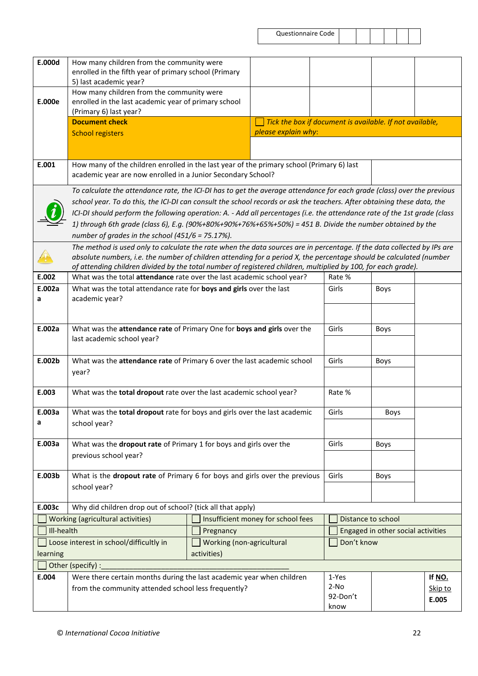| Questionnaire Code |  |
|--------------------|--|
|--------------------|--|

| E.000d     | How many children from the community were                                                                                 |                           |                                                          |            |                                    |         |
|------------|---------------------------------------------------------------------------------------------------------------------------|---------------------------|----------------------------------------------------------|------------|------------------------------------|---------|
|            | enrolled in the fifth year of primary school (Primary                                                                     |                           |                                                          |            |                                    |         |
|            | 5) last academic year?                                                                                                    |                           |                                                          |            |                                    |         |
|            | How many children from the community were                                                                                 |                           |                                                          |            |                                    |         |
| E.000e     | enrolled in the last academic year of primary school                                                                      |                           |                                                          |            |                                    |         |
|            | (Primary 6) last year?                                                                                                    |                           |                                                          |            |                                    |         |
|            | <b>Document check</b>                                                                                                     |                           | Tick the box if document is available. If not available, |            |                                    |         |
|            | <b>School registers</b>                                                                                                   |                           | please explain why:                                      |            |                                    |         |
|            |                                                                                                                           |                           |                                                          |            |                                    |         |
|            |                                                                                                                           |                           |                                                          |            |                                    |         |
| E.001      | How many of the children enrolled in the last year of the primary school (Primary 6) last                                 |                           |                                                          |            |                                    |         |
|            | academic year are now enrolled in a Junior Secondary School?                                                              |                           |                                                          |            |                                    |         |
|            | To calculate the attendance rate, the ICI-DI has to get the average attendance for each grade (class) over the previous   |                           |                                                          |            |                                    |         |
|            | school year. To do this, the ICI-DI can consult the school records or ask the teachers. After obtaining these data, the   |                           |                                                          |            |                                    |         |
|            |                                                                                                                           |                           |                                                          |            |                                    |         |
|            | ICI-DI should perform the following operation: A. - Add all percentages (i.e. the attendance rate of the 1st grade (class |                           |                                                          |            |                                    |         |
|            | 1) through 6th grade (class 6), E.g. (90%+80%+90%+76%+65%+50%) = 451 B. Divide the number obtained by the                 |                           |                                                          |            |                                    |         |
|            | number of grades in the school $(451/6 = 75.17%)$ .                                                                       |                           |                                                          |            |                                    |         |
|            | The method is used only to calculate the rate when the data sources are in percentage. If the data collected by IPs are   |                           |                                                          |            |                                    |         |
|            | absolute numbers, i.e. the number of children attending for a period X, the percentage should be calculated (number       |                           |                                                          |            |                                    |         |
|            | of attending children divided by the total number of registered children, multiplied by 100, for each grade).             |                           |                                                          |            |                                    |         |
| E.002      | What was the total attendance rate over the last academic school year?                                                    |                           |                                                          | Rate %     |                                    |         |
| E.002a     | What was the total attendance rate for boys and girls over the last                                                       |                           |                                                          | Girls      | Boys                               |         |
| a          | academic year?                                                                                                            |                           |                                                          |            |                                    |         |
|            |                                                                                                                           |                           |                                                          |            |                                    |         |
|            |                                                                                                                           |                           |                                                          |            |                                    |         |
| E.002a     | What was the attendance rate of Primary One for boys and girls over the                                                   |                           |                                                          | Girls      | Boys                               |         |
|            | last academic school year?                                                                                                |                           |                                                          |            |                                    |         |
|            |                                                                                                                           |                           |                                                          |            |                                    |         |
| E.002b     | What was the attendance rate of Primary 6 over the last academic school                                                   |                           |                                                          | Girls      | <b>Boys</b>                        |         |
|            | year?                                                                                                                     |                           |                                                          |            |                                    |         |
|            |                                                                                                                           |                           |                                                          |            |                                    |         |
| E.003      | What was the total dropout rate over the last academic school year?                                                       |                           |                                                          | Rate %     |                                    |         |
| E.003a     | What was the total dropout rate for boys and girls over the last academic                                                 |                           |                                                          | Girls      |                                    |         |
| a          |                                                                                                                           |                           |                                                          |            | Boys                               |         |
|            | school year?                                                                                                              |                           |                                                          |            |                                    |         |
| E.003a     | What was the dropout rate of Primary 1 for boys and girls over the                                                        |                           |                                                          | Girls      | Boys                               |         |
|            |                                                                                                                           |                           |                                                          |            |                                    |         |
|            | previous school year?                                                                                                     |                           |                                                          |            |                                    |         |
| E.003b     | What is the dropout rate of Primary 6 for boys and girls over the previous                                                |                           |                                                          | Girls      | Boys                               |         |
|            | school year?                                                                                                              |                           |                                                          |            |                                    |         |
|            |                                                                                                                           |                           |                                                          |            |                                    |         |
| E.003c     | Why did children drop out of school? (tick all that apply)                                                                |                           |                                                          |            |                                    |         |
|            | Working (agricultural activities)                                                                                         |                           | Insufficient money for school fees                       |            | Distance to school                 |         |
|            |                                                                                                                           |                           |                                                          |            |                                    |         |
| III-health |                                                                                                                           | Pregnancy                 |                                                          |            | Engaged in other social activities |         |
|            | Loose interest in school/difficultly in                                                                                   | Working (non-agricultural |                                                          | Don't know |                                    |         |
| learning   |                                                                                                                           | activities)               |                                                          |            |                                    |         |
|            | Other (specify) :                                                                                                         |                           |                                                          |            |                                    |         |
| E.004      | Were there certain months during the last academic year when children                                                     |                           |                                                          | 1-Yes      |                                    | If NO.  |
|            | from the community attended school less frequently?                                                                       |                           |                                                          | $2-NO$     |                                    | Skip to |
|            |                                                                                                                           |                           |                                                          | 92-Don't   |                                    | E.005   |
|            |                                                                                                                           |                           |                                                          | know       |                                    |         |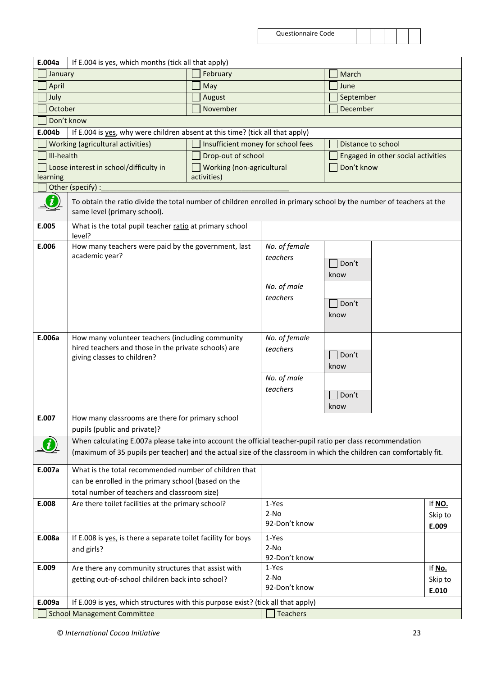| <b>Questionnaire Code</b> |  |
|---------------------------|--|
|---------------------------|--|

| E.004a   | If E.004 is yes, which months (tick all that apply)                                                                                                 |             |                                    |                           |       |                    |                                    |         |
|----------|-----------------------------------------------------------------------------------------------------------------------------------------------------|-------------|------------------------------------|---------------------------|-------|--------------------|------------------------------------|---------|
|          | January                                                                                                                                             |             | February                           |                           | March |                    |                                    |         |
| April    |                                                                                                                                                     |             | May                                |                           |       | June               |                                    |         |
| July     |                                                                                                                                                     |             | August                             |                           |       | September          |                                    |         |
|          | October                                                                                                                                             |             | November                           |                           |       | December           |                                    |         |
|          | Don't know                                                                                                                                          |             |                                    |                           |       |                    |                                    |         |
| E.004b   | If E.004 is yes, why were children absent at this time? (tick all that apply)                                                                       |             |                                    |                           |       |                    |                                    |         |
|          | Working (agricultural activities)                                                                                                                   |             | Insufficient money for school fees |                           |       | Distance to school |                                    |         |
|          | Ill-health                                                                                                                                          |             | Drop-out of school                 |                           |       |                    | Engaged in other social activities |         |
|          | Loose interest in school/difficulty in                                                                                                              |             | Working (non-agricultural          |                           |       | Don't know         |                                    |         |
| learning |                                                                                                                                                     | activities) |                                    |                           |       |                    |                                    |         |
|          | Other (specify) :                                                                                                                                   |             |                                    |                           |       |                    |                                    |         |
|          | To obtain the ratio divide the total number of children enrolled in primary school by the number of teachers at the<br>same level (primary school). |             |                                    |                           |       |                    |                                    |         |
| E.005    | What is the total pupil teacher ratio at primary school<br>level?                                                                                   |             |                                    |                           |       |                    |                                    |         |
| E.006    | How many teachers were paid by the government, last<br>academic year?                                                                               |             |                                    | No. of female<br>teachers |       |                    |                                    |         |
|          |                                                                                                                                                     |             |                                    |                           |       | Don't              |                                    |         |
|          |                                                                                                                                                     |             |                                    | No. of male               |       | know               |                                    |         |
|          |                                                                                                                                                     |             |                                    | teachers                  |       |                    |                                    |         |
|          |                                                                                                                                                     |             |                                    |                           |       | Don't              |                                    |         |
|          |                                                                                                                                                     |             |                                    |                           |       | know               |                                    |         |
|          |                                                                                                                                                     |             |                                    |                           |       |                    |                                    |         |
| E.006a   | How many volunteer teachers (including community                                                                                                    |             |                                    | No. of female             |       |                    |                                    |         |
|          | hired teachers and those in the private schools) are<br>giving classes to children?                                                                 |             |                                    | teachers                  |       | Don't              |                                    |         |
|          |                                                                                                                                                     |             |                                    |                           |       | know               |                                    |         |
|          |                                                                                                                                                     |             |                                    | No. of male               |       |                    |                                    |         |
|          |                                                                                                                                                     |             |                                    | teachers                  |       |                    |                                    |         |
|          |                                                                                                                                                     |             |                                    |                           |       | Don't              |                                    |         |
| E.007    | How many classrooms are there for primary school                                                                                                    |             |                                    |                           |       | know               |                                    |         |
|          | pupils (public and private)?                                                                                                                        |             |                                    |                           |       |                    |                                    |         |
|          | When calculating E.007a please take into account the official teacher-pupil ratio per class recommendation                                          |             |                                    |                           |       |                    |                                    |         |
|          | (maximum of 35 pupils per teacher) and the actual size of the classroom in which the children can comfortably fit.                                  |             |                                    |                           |       |                    |                                    |         |
| E.007a   | What is the total recommended number of children that                                                                                               |             |                                    |                           |       |                    |                                    |         |
|          | can be enrolled in the primary school (based on the                                                                                                 |             |                                    |                           |       |                    |                                    |         |
|          | total number of teachers and classroom size)                                                                                                        |             |                                    |                           |       |                    |                                    |         |
| E.008    | Are there toilet facilities at the primary school?                                                                                                  |             |                                    | 1-Yes                     |       |                    |                                    | If NO.  |
|          |                                                                                                                                                     |             |                                    | $2-NO$                    |       |                    |                                    | Skip to |
|          |                                                                                                                                                     |             |                                    | 92-Don't know             |       |                    |                                    | E.009   |
| E.008a   | If E.008 is yes, is there a separate toilet facility for boys                                                                                       |             |                                    | 1-Yes                     |       |                    |                                    |         |
|          | and girls?                                                                                                                                          |             |                                    | $2-NO$                    |       |                    |                                    |         |
|          |                                                                                                                                                     |             |                                    | 92-Don't know             |       |                    |                                    |         |
| E.009    | Are there any community structures that assist with                                                                                                 |             |                                    | 1-Yes<br>$2-NO$           |       |                    |                                    | If No.  |
|          | getting out-of-school children back into school?                                                                                                    |             |                                    | 92-Don't know             |       |                    |                                    | Skip to |
|          |                                                                                                                                                     |             |                                    |                           |       |                    |                                    | E.010   |
| E.009a   | If E.009 is yes, which structures with this purpose exist? (tick all that apply)                                                                    |             |                                    |                           |       |                    |                                    |         |
|          | <b>School Management Committee</b>                                                                                                                  |             |                                    | <b>Teachers</b>           |       |                    |                                    |         |

© *International Cocoa Initiative* 23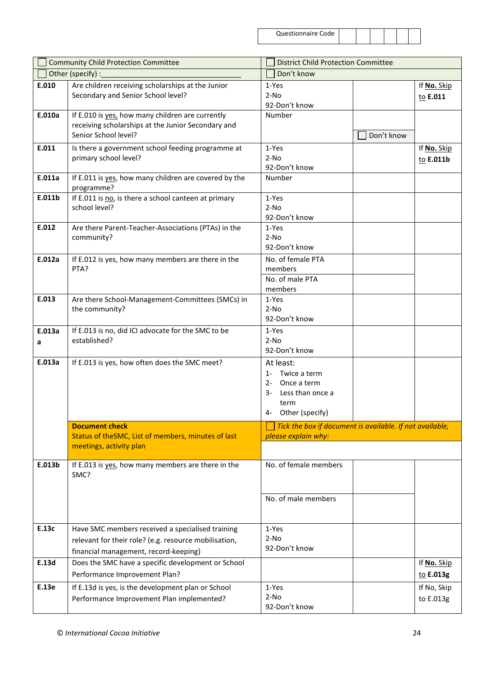| Questionnaire Code |  |  |
|--------------------|--|--|
|--------------------|--|--|

| <b>Community Child Protection Committee</b> |                                                                                                                                                    | <b>District Child Protection Committee</b> |                                                                                            |            |                          |  |
|---------------------------------------------|----------------------------------------------------------------------------------------------------------------------------------------------------|--------------------------------------------|--------------------------------------------------------------------------------------------|------------|--------------------------|--|
|                                             | Other (specify) :                                                                                                                                  |                                            | Don't know                                                                                 |            |                          |  |
| E.010                                       | Are children receiving scholarships at the Junior<br>Secondary and Senior School level?                                                            |                                            | 1-Yes<br>$2-NO$<br>92-Don't know                                                           |            | If No. Skip<br>to E.011  |  |
| E.010a                                      | If E.010 is yes, how many children are currently<br>receiving scholarships at the Junior Secondary and<br>Senior School level?                     |                                            | Number                                                                                     | Don't know |                          |  |
| E.011                                       | Is there a government school feeding programme at<br>primary school level?                                                                         |                                            | 1-Yes<br>$2-NO$<br>92-Don't know                                                           |            | If No. Skip<br>to E.011b |  |
| E.011a                                      | If E.011 is yes, how many children are covered by the<br>programme?                                                                                |                                            | Number                                                                                     |            |                          |  |
| E.011b                                      | If E.011 is no, is there a school canteen at primary<br>school level?                                                                              |                                            | 1-Yes<br>$2-NO$<br>92-Don't know                                                           |            |                          |  |
| E.012                                       | Are there Parent-Teacher-Associations (PTAs) in the<br>community?                                                                                  |                                            | 1-Yes<br>$2-NO$<br>92-Don't know                                                           |            |                          |  |
| E.012a                                      | If E.012 is yes, how many members are there in the<br>PTA?                                                                                         |                                            | No. of female PTA<br>members<br>No. of male PTA<br>members                                 |            |                          |  |
| E.013                                       | Are there School-Management-Committees (SMCs) in<br>the community?                                                                                 |                                            | 1-Yes<br>$2-NO$<br>92-Don't know                                                           |            |                          |  |
| E.013a<br>a                                 | If E.013 is no, did ICI advocate for the SMC to be<br>established?                                                                                 |                                            | 1-Yes<br>$2-NO$<br>92-Don't know                                                           |            |                          |  |
| E.013a                                      | If E.013 is yes, how often does the SMC meet?                                                                                                      | $1 -$<br>2-<br>3-                          | At least:<br>Twice a term<br>Once a term<br>Less than once a<br>term<br>4- Other (specify) |            |                          |  |
|                                             | <b>Document check</b>                                                                                                                              |                                            | Tick the box if document is available. If not available,                                   |            |                          |  |
|                                             | Status of theSMC, List of members, minutes of last<br>meetings, activity plan                                                                      |                                            | please explain why:                                                                        |            |                          |  |
| E.013b                                      | If E.013 is yes, how many members are there in the<br>SMC?                                                                                         |                                            | No. of female members                                                                      |            |                          |  |
|                                             |                                                                                                                                                    |                                            | No. of male members                                                                        |            |                          |  |
| E.13c                                       | Have SMC members received a specialised training<br>relevant for their role? (e.g. resource mobilisation,<br>financial management, record-keeping) |                                            | 1-Yes<br>$2-NO$<br>92-Don't know                                                           |            |                          |  |
| E.13d                                       | Does the SMC have a specific development or School<br>Performance Improvement Plan?                                                                |                                            |                                                                                            |            | If No. Skip<br>to E.013g |  |
| E.13e                                       | If E.13d is yes, is the development plan or School<br>Performance Improvement Plan implemented?                                                    |                                            | 1-Yes<br>$2-NO$<br>92-Don't know                                                           |            | If No, Skip<br>to E.013g |  |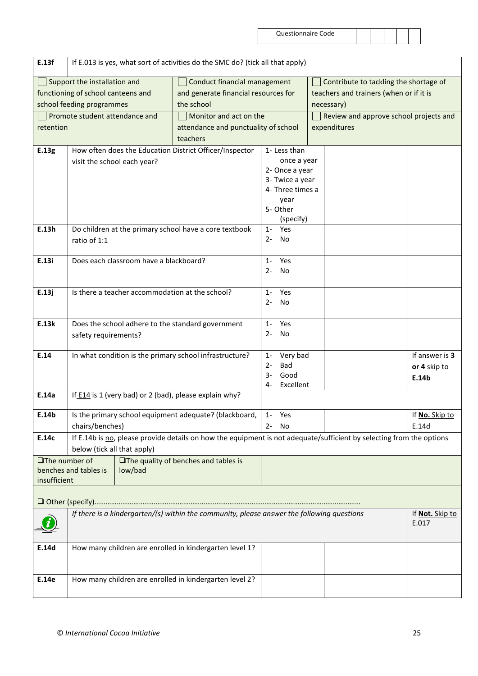| E.13f                                                                                      | If E.013 is yes, what sort of activities do the SMC do? (tick all that apply) |                                             |                                          |                                                                                                                      |                |  |  |  |
|--------------------------------------------------------------------------------------------|-------------------------------------------------------------------------------|---------------------------------------------|------------------------------------------|----------------------------------------------------------------------------------------------------------------------|----------------|--|--|--|
| Support the installation and                                                               |                                                                               | Conduct financial management                |                                          | Contribute to tackling the shortage of                                                                               |                |  |  |  |
|                                                                                            | functioning of school canteens and                                            | and generate financial resources for        |                                          | teachers and trainers (when or if it is                                                                              |                |  |  |  |
|                                                                                            | school feeding programmes                                                     | the school                                  |                                          | necessary)                                                                                                           |                |  |  |  |
| Promote student attendance and                                                             |                                                                               | Monitor and act on the                      |                                          | Review and approve school projects and                                                                               |                |  |  |  |
| retention                                                                                  |                                                                               | attendance and punctuality of school        |                                          | expenditures                                                                                                         |                |  |  |  |
|                                                                                            |                                                                               | teachers                                    |                                          |                                                                                                                      |                |  |  |  |
| E.13g                                                                                      | How often does the Education District Officer/Inspector                       |                                             | 1- Less than                             |                                                                                                                      |                |  |  |  |
|                                                                                            | visit the school each year?                                                   |                                             | once a year                              |                                                                                                                      |                |  |  |  |
|                                                                                            |                                                                               |                                             |                                          | 2- Once a year                                                                                                       |                |  |  |  |
|                                                                                            |                                                                               |                                             |                                          | 3- Twice a year                                                                                                      |                |  |  |  |
|                                                                                            |                                                                               |                                             | 4- Three times a                         |                                                                                                                      |                |  |  |  |
|                                                                                            |                                                                               |                                             | year                                     |                                                                                                                      |                |  |  |  |
|                                                                                            |                                                                               |                                             | 5- Other                                 |                                                                                                                      |                |  |  |  |
| E.13h                                                                                      | Do children at the primary school have a core textbook                        |                                             | (specify)<br>Yes                         |                                                                                                                      |                |  |  |  |
|                                                                                            | ratio of 1:1                                                                  |                                             | $1 -$<br>No<br>$2 -$                     |                                                                                                                      |                |  |  |  |
|                                                                                            |                                                                               |                                             |                                          |                                                                                                                      |                |  |  |  |
| E.13i                                                                                      | Does each classroom have a blackboard?                                        |                                             | Yes<br>$1 -$                             |                                                                                                                      |                |  |  |  |
|                                                                                            |                                                                               |                                             | $2 -$<br>No                              |                                                                                                                      |                |  |  |  |
|                                                                                            |                                                                               |                                             |                                          |                                                                                                                      |                |  |  |  |
| E.13j                                                                                      | Is there a teacher accommodation at the school?                               |                                             | Yes<br>$1 -$                             |                                                                                                                      |                |  |  |  |
|                                                                                            |                                                                               |                                             |                                          |                                                                                                                      |                |  |  |  |
|                                                                                            |                                                                               |                                             |                                          |                                                                                                                      |                |  |  |  |
| E.13k                                                                                      | Does the school adhere to the standard government                             |                                             |                                          |                                                                                                                      |                |  |  |  |
| safety requirements?                                                                       |                                                                               | No<br>$2 -$                                 |                                          |                                                                                                                      |                |  |  |  |
|                                                                                            |                                                                               |                                             |                                          |                                                                                                                      |                |  |  |  |
| E.14                                                                                       | In what condition is the primary school infrastructure?                       |                                             | Very bad<br>$1 -$<br><b>Bad</b><br>$2 -$ |                                                                                                                      | If answer is 3 |  |  |  |
|                                                                                            |                                                                               |                                             | Good<br>3-                               |                                                                                                                      | or 4 skip to   |  |  |  |
|                                                                                            |                                                                               |                                             | Excellent<br>$4-$                        |                                                                                                                      | E.14b          |  |  |  |
| E.14a                                                                                      | If E14 is 1 (very bad) or 2 (bad), please explain why?                        |                                             |                                          |                                                                                                                      |                |  |  |  |
|                                                                                            |                                                                               |                                             |                                          |                                                                                                                      |                |  |  |  |
| E.14b                                                                                      | Is the primary school equipment adequate? (blackboard,   1- Yes               |                                             |                                          |                                                                                                                      | If No. Skip to |  |  |  |
|                                                                                            | chairs/benches)                                                               |                                             | $2 -$<br>No                              |                                                                                                                      | E.14d          |  |  |  |
| E.14c                                                                                      |                                                                               |                                             |                                          | If E.14b is no, please provide details on how the equipment is not adequate/sufficient by selecting from the options |                |  |  |  |
|                                                                                            | below (tick all that apply)                                                   |                                             |                                          |                                                                                                                      |                |  |  |  |
| $\Box$ The number of                                                                       |                                                                               | <b>The quality of benches and tables is</b> |                                          |                                                                                                                      |                |  |  |  |
| insufficient                                                                               | benches and tables is<br>low/bad                                              |                                             |                                          |                                                                                                                      |                |  |  |  |
|                                                                                            |                                                                               |                                             |                                          |                                                                                                                      |                |  |  |  |
|                                                                                            |                                                                               |                                             |                                          |                                                                                                                      |                |  |  |  |
| If there is a kindergarten/(s) within the community, please answer the following questions |                                                                               |                                             |                                          | If Not. Skip to                                                                                                      |                |  |  |  |
|                                                                                            |                                                                               |                                             |                                          |                                                                                                                      | E.017          |  |  |  |
|                                                                                            |                                                                               |                                             |                                          |                                                                                                                      |                |  |  |  |
| E.14d                                                                                      | How many children are enrolled in kindergarten level 1?                       |                                             |                                          |                                                                                                                      |                |  |  |  |
|                                                                                            |                                                                               |                                             |                                          |                                                                                                                      |                |  |  |  |
|                                                                                            |                                                                               |                                             |                                          |                                                                                                                      |                |  |  |  |
| E.14e                                                                                      | How many children are enrolled in kindergarten level 2?                       |                                             |                                          |                                                                                                                      |                |  |  |  |
|                                                                                            |                                                                               |                                             |                                          |                                                                                                                      |                |  |  |  |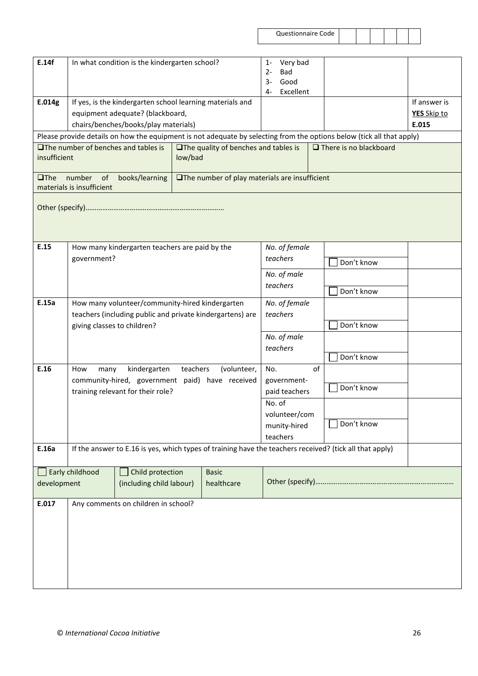| <b>Questionnaire Code</b> |  |
|---------------------------|--|
|---------------------------|--|

| aire Code |  |  |  |
|-----------|--|--|--|
|           |  |  |  |

| E.14f       | In what condition is the kindergarten school?                                                                                         |                                                 |  | $1 -$<br>2-<br>$3-$ | Very bad<br>Bad<br>Good |                          |                                                                                                                       |                                                                                                         |  |
|-------------|---------------------------------------------------------------------------------------------------------------------------------------|-------------------------------------------------|--|---------------------|-------------------------|--------------------------|-----------------------------------------------------------------------------------------------------------------------|---------------------------------------------------------------------------------------------------------|--|
| E.014g      | If yes, is the kindergarten school learning materials and<br>equipment adequate? (blackboard,<br>chairs/benches/books/play materials) |                                                 |  | 4-                  | Excellent               |                          |                                                                                                                       | If answer is<br>YES Skip to<br>E.015                                                                    |  |
|             |                                                                                                                                       |                                                 |  |                     |                         |                          | Please provide details on how the equipment is not adequate by selecting from the options below (tick all that apply) |                                                                                                         |  |
|             | <b>OThe number of benches and tables is</b><br>$\Box$ The quality of benches and tables is<br>insufficient<br>low/bad                 |                                                 |  |                     |                         |                          | $\Box$ There is no blackboard                                                                                         |                                                                                                         |  |
| $\Box$ The  | number of<br>books/learning<br>□The number of play materials are insufficient<br>materials is insufficient                            |                                                 |  |                     |                         |                          |                                                                                                                       |                                                                                                         |  |
|             |                                                                                                                                       |                                                 |  |                     |                         |                          |                                                                                                                       |                                                                                                         |  |
| E.15        |                                                                                                                                       | How many kindergarten teachers are paid by the  |  |                     |                         | No. of female            |                                                                                                                       |                                                                                                         |  |
|             | government?                                                                                                                           |                                                 |  |                     | teachers                |                          | Don't know                                                                                                            |                                                                                                         |  |
|             |                                                                                                                                       |                                                 |  | No. of male         |                         |                          |                                                                                                                       |                                                                                                         |  |
|             |                                                                                                                                       |                                                 |  |                     |                         | teachers                 |                                                                                                                       | Don't know                                                                                              |  |
| E.15a       | How many volunteer/community-hired kindergarten                                                                                       |                                                 |  |                     | No. of female           |                          |                                                                                                                       |                                                                                                         |  |
|             | teachers (including public and private kindergartens) are                                                                             |                                                 |  |                     | teachers                |                          |                                                                                                                       |                                                                                                         |  |
|             | giving classes to children?                                                                                                           |                                                 |  |                     |                         |                          |                                                                                                                       | Don't know                                                                                              |  |
|             |                                                                                                                                       |                                                 |  |                     |                         | No. of male<br>teachers  |                                                                                                                       |                                                                                                         |  |
|             |                                                                                                                                       |                                                 |  |                     |                         |                          | Don't know                                                                                                            |                                                                                                         |  |
| E.16        | teachers<br>kindergarten<br>How<br>many                                                                                               |                                                 |  | (volunteer,         | No.                     |                          | of                                                                                                                    |                                                                                                         |  |
|             |                                                                                                                                       | community-hired, government paid) have received |  |                     |                         | government-              |                                                                                                                       |                                                                                                         |  |
|             |                                                                                                                                       | training relevant for their role?               |  |                     |                         | paid teachers            |                                                                                                                       | Don't know                                                                                              |  |
|             |                                                                                                                                       |                                                 |  |                     |                         | No. of                   |                                                                                                                       |                                                                                                         |  |
|             |                                                                                                                                       |                                                 |  |                     |                         | volunteer/com            |                                                                                                                       | Don't know                                                                                              |  |
|             |                                                                                                                                       |                                                 |  |                     |                         | munity-hired<br>teachers |                                                                                                                       |                                                                                                         |  |
| E.16a       |                                                                                                                                       |                                                 |  |                     |                         |                          |                                                                                                                       | If the answer to E.16 is yes, which types of training have the teachers received? (tick all that apply) |  |
|             |                                                                                                                                       |                                                 |  |                     |                         |                          |                                                                                                                       |                                                                                                         |  |
|             | Early childhood                                                                                                                       | Child protection                                |  | <b>Basic</b>        |                         |                          |                                                                                                                       |                                                                                                         |  |
| development |                                                                                                                                       | (including child labour)                        |  | healthcare          |                         |                          |                                                                                                                       |                                                                                                         |  |
| E.017       | Any comments on children in school?                                                                                                   |                                                 |  |                     |                         |                          |                                                                                                                       |                                                                                                         |  |
|             |                                                                                                                                       |                                                 |  |                     |                         |                          |                                                                                                                       |                                                                                                         |  |
|             |                                                                                                                                       |                                                 |  |                     |                         |                          |                                                                                                                       |                                                                                                         |  |
|             |                                                                                                                                       |                                                 |  |                     |                         |                          |                                                                                                                       |                                                                                                         |  |
|             |                                                                                                                                       |                                                 |  |                     |                         |                          |                                                                                                                       |                                                                                                         |  |
|             |                                                                                                                                       |                                                 |  |                     |                         |                          |                                                                                                                       |                                                                                                         |  |
|             |                                                                                                                                       |                                                 |  |                     |                         |                          |                                                                                                                       |                                                                                                         |  |